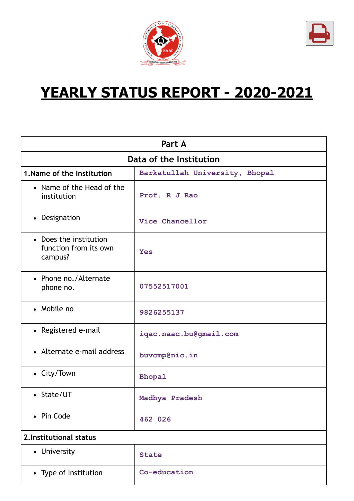



# **YEARLY STATUS REPORT - 2020-2021**

| Part A                                                     |                                |  |  |
|------------------------------------------------------------|--------------------------------|--|--|
| Data of the Institution                                    |                                |  |  |
| 1. Name of the Institution                                 | Barkatullah University, Bhopal |  |  |
| • Name of the Head of the<br>institution                   | Prof. R J Rao                  |  |  |
| • Designation                                              | Vice Chancellor                |  |  |
| • Does the institution<br>function from its own<br>campus? | <b>Yes</b>                     |  |  |
| • Phone no./Alternate<br>phone no.                         | 07552517001                    |  |  |
| • Mobile no                                                | 9826255137                     |  |  |
| • Registered e-mail                                        | iqac.naac.bu@gmail.com         |  |  |
| • Alternate e-mail address                                 | buvcmp@nic.in                  |  |  |
| • City/Town                                                | Bhopal                         |  |  |
| • State/UT                                                 | Madhya Pradesh                 |  |  |
| • Pin Code                                                 | 462 026                        |  |  |
| 2. Institutional status                                    |                                |  |  |
| • University                                               | <b>State</b>                   |  |  |
| • Type of Institution                                      | Co-education                   |  |  |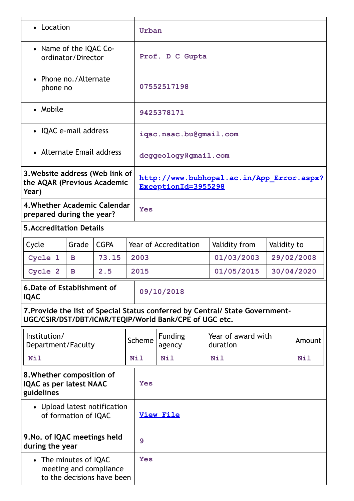| • Location                                                                                                                              |       |             | Urban                                                            |                              |                                |             |            |
|-----------------------------------------------------------------------------------------------------------------------------------------|-------|-------------|------------------------------------------------------------------|------------------------------|--------------------------------|-------------|------------|
| • Name of the IQAC Co-<br>ordinator/Director                                                                                            |       |             | Prof. D C Gupta                                                  |                              |                                |             |            |
| • Phone no./Alternate<br>phone no                                                                                                       |       |             |                                                                  | 07552517198                  |                                |             |            |
| • Mobile                                                                                                                                |       |             |                                                                  | 9425378171                   |                                |             |            |
| • IQAC e-mail address                                                                                                                   |       |             |                                                                  | iqac.naac.bu@gmail.com       |                                |             |            |
| • Alternate Email address                                                                                                               |       |             |                                                                  | dcggeology@gmail.com         |                                |             |            |
| 3. Website address (Web link of<br>the AQAR (Previous Academic<br>Year)                                                                 |       |             | http://www.bubhopal.ac.in/App Error.aspx?<br>ExceptionId=3955298 |                              |                                |             |            |
| 4. Whether Academic Calendar<br>prepared during the year?                                                                               |       | <b>Yes</b>  |                                                                  |                              |                                |             |            |
| <b>5. Accreditation Details</b>                                                                                                         |       |             |                                                                  |                              |                                |             |            |
| Cycle                                                                                                                                   | Grade | <b>CGPA</b> |                                                                  | <b>Year of Accreditation</b> | Validity from                  | Validity to |            |
| Cycle 1                                                                                                                                 | B     | 73.15       | 2003                                                             |                              | 01/03/2003                     |             | 29/02/2008 |
| Cycle 2                                                                                                                                 | B     | 2.5         | 2015                                                             |                              | 01/05/2015                     |             | 30/04/2020 |
| 6. Date of Establishment of<br><b>IQAC</b>                                                                                              |       |             | 09/10/2018                                                       |                              |                                |             |            |
| 7. Provide the list of Special Status conferred by Central/ State Government-<br>UGC/CSIR/DST/DBT/ICMR/TEQIP/World Bank/CPE of UGC etc. |       |             |                                                                  |                              |                                |             |            |
| Institution/<br>Department/Faculty                                                                                                      |       |             | Scheme                                                           | <b>Funding</b><br>agency     | Year of award with<br>duration |             | Amount     |
| <b>Nil</b>                                                                                                                              |       |             | <b>Nil</b>                                                       | Nil                          | <b>Nil</b>                     |             | <b>Nil</b> |
| 8. Whether composition of<br><b>IQAC as per latest NAAC</b><br>guidelines                                                               |       |             | <b>Yes</b>                                                       |                              |                                |             |            |
| • Upload latest notification<br>of formation of IQAC                                                                                    |       |             | <b>View File</b>                                                 |                              |                                |             |            |
| 9. No. of IQAC meetings held<br>during the year                                                                                         |       | 9           |                                                                  |                              |                                |             |            |
| • The minutes of IQAC<br>meeting and compliance<br>to the decisions have been                                                           |       | <b>Yes</b>  |                                                                  |                              |                                |             |            |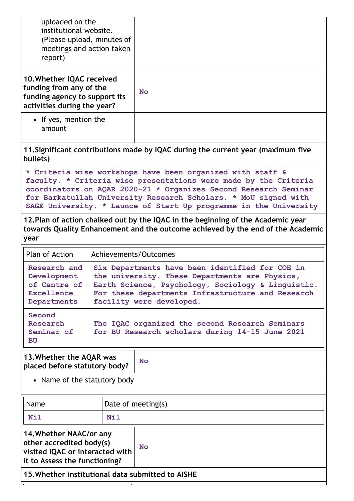| uploaded on the<br>institutional website.<br>(Please upload, minutes of<br>meetings and action taken<br>report)                                                                                                                                                                                                             |                       |                                                                                                                                                                                                                                                                                                                                            |
|-----------------------------------------------------------------------------------------------------------------------------------------------------------------------------------------------------------------------------------------------------------------------------------------------------------------------------|-----------------------|--------------------------------------------------------------------------------------------------------------------------------------------------------------------------------------------------------------------------------------------------------------------------------------------------------------------------------------------|
| 10. Whether IQAC received<br>funding from any of the<br>funding agency to support its<br>activities during the year?                                                                                                                                                                                                        |                       | <b>No</b>                                                                                                                                                                                                                                                                                                                                  |
| • If yes, mention the<br>amount                                                                                                                                                                                                                                                                                             |                       |                                                                                                                                                                                                                                                                                                                                            |
| bullets)                                                                                                                                                                                                                                                                                                                    |                       | 11. Significant contributions made by IQAC during the current year (maximum five                                                                                                                                                                                                                                                           |
|                                                                                                                                                                                                                                                                                                                             |                       | * Criteria wise workshops have been organized with staff &<br>faculty. * Criteria wise presentations were made by the Criteria<br>coordinators on AQAR 2020-21 * Organizes Second Research Seminar<br>for Barkatullah University Research Scholars. * MoU signed with<br>SAGE University. * Launce of Start Up programme in the University |
| year                                                                                                                                                                                                                                                                                                                        |                       | 12. Plan of action chalked out by the IQAC in the beginning of the Academic year<br>towards Quality Enhancement and the outcome achieved by the end of the Academic                                                                                                                                                                        |
| Plan of Action                                                                                                                                                                                                                                                                                                              | Achievements/Outcomes |                                                                                                                                                                                                                                                                                                                                            |
| Six Departments have been identified for COE in<br>Research and<br>the university. These Departments are Physics,<br>Development<br>of Centre of<br>Earth Science, Psychology, Sociology & Linguistic.<br><b>Excellence</b><br>For these departments Infrastructure and Research<br>facility were developed.<br>Departments |                       |                                                                                                                                                                                                                                                                                                                                            |
| Second<br>Research<br>The IQAC organized the second Research Seminars<br>Seminar of<br>for BU Research scholars during 14-15 June 2021<br><b>BU</b>                                                                                                                                                                         |                       |                                                                                                                                                                                                                                                                                                                                            |
| 13. Whether the AQAR was<br>placed before statutory body?                                                                                                                                                                                                                                                                   |                       | <b>No</b>                                                                                                                                                                                                                                                                                                                                  |
| • Name of the statutory body                                                                                                                                                                                                                                                                                                |                       |                                                                                                                                                                                                                                                                                                                                            |
| Name                                                                                                                                                                                                                                                                                                                        |                       | Date of meeting(s)                                                                                                                                                                                                                                                                                                                         |
| <b>Nil</b>                                                                                                                                                                                                                                                                                                                  | Nil                   |                                                                                                                                                                                                                                                                                                                                            |
| 14. Whether NAAC/or any<br>other accredited body(s)<br>visited IQAC or interacted with<br>it to Assess the functioning?                                                                                                                                                                                                     |                       | <b>No</b>                                                                                                                                                                                                                                                                                                                                  |

**15.Whether institutional data submitted to AISHE**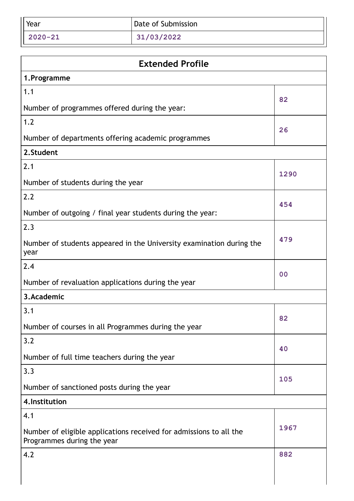| Year        | Date of Submission |
|-------------|--------------------|
| $2020 - 21$ | 31/03/2022         |

| <b>Extended Profile</b>                                                                          |                |  |
|--------------------------------------------------------------------------------------------------|----------------|--|
| 1. Programme                                                                                     |                |  |
| 1.1                                                                                              | 82             |  |
| Number of programmes offered during the year:                                                    |                |  |
| 1.2                                                                                              | 26             |  |
| Number of departments offering academic programmes                                               |                |  |
| 2.Student                                                                                        |                |  |
| 2.1                                                                                              | 1290           |  |
| Number of students during the year                                                               |                |  |
| 2.2                                                                                              | 454            |  |
| Number of outgoing / final year students during the year:                                        |                |  |
| 2.3                                                                                              |                |  |
| Number of students appeared in the University examination during the<br>year                     | 479            |  |
| 2.4                                                                                              | 0 <sub>0</sub> |  |
| Number of revaluation applications during the year                                               |                |  |
| 3.Academic                                                                                       |                |  |
| 3.1                                                                                              | 82             |  |
| Number of courses in all Programmes during the year                                              |                |  |
| 3.2                                                                                              | 40             |  |
| Number of full time teachers during the year                                                     |                |  |
| 3.3                                                                                              | 105            |  |
| Number of sanctioned posts during the year                                                       |                |  |
| 4. Institution                                                                                   |                |  |
| 4.1                                                                                              |                |  |
| Number of eligible applications received for admissions to all the<br>Programmes during the year | 1967           |  |
| 4.2                                                                                              | 882            |  |
|                                                                                                  |                |  |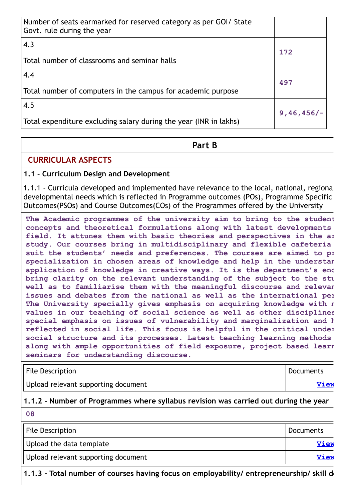| Number of seats earmarked for reserved category as per GOI/ State<br>Govt. rule during the year |              |
|-------------------------------------------------------------------------------------------------|--------------|
| 4.3<br>Total number of classrooms and seminar halls                                             | 172          |
| 4.4                                                                                             |              |
| Total number of computers in the campus for academic purpose                                    | 497          |
| 4.5                                                                                             | $9,46,456/-$ |
| Total expenditure excluding salary during the year (INR in lakhs)                               |              |

## **Part B**

## **CURRICULAR ASPECTS**

#### **1.1 - Curriculum Design and Development**

1.1.1 - Curricula developed and implemented have relevance to the local, national, regiona developmental needs which is reflected in Programme outcomes (POs), Programme Specific Outcomes(PSOs) and Course Outcomes(COs) of the Programmes offered by the University

**The Academic programmes of the university aim to bring to the student concepts and theoretical formulations along with latest developments field. It attunes them with basic theories and perspectives in the ar study. Our courses bring in multidisciplinary and flexible cafeteria suit the students' needs and preferences. The courses are aimed to pr specialization in chosen areas of knowledge and help in the understan application of knowledge in creative ways. It is the department's end bring clarity on the relevant understanding of the subject to the stu well as to familiarise them with the meaningful discourse and relevan issues and debates from the national as well as the international per The University specially gives emphasis on acquiring knowledge with n values in our teaching of social science as well as other disciplines special emphasis on issues of vulnerability and marginalization and h reflected in social life. This focus is helpful in the critical under social structure and its processes. Latest teaching learning methods along with ample opportunities of field exposure, project based learn seminars for understanding discourse.**

| <b>File Description</b>             | Documents |
|-------------------------------------|-----------|
| Upload relevant supporting document | View      |

#### **1.1.2 - Number of Programmes where syllabus revision was carried out during the year**

| 08                                  |                  |
|-------------------------------------|------------------|
| File Description                    | <b>Documents</b> |
| Upload the data template            | View             |
| Upload relevant supporting document | View             |

**1.1.3 - Total number of courses having focus on employability/ entrepreneurship/ skill de**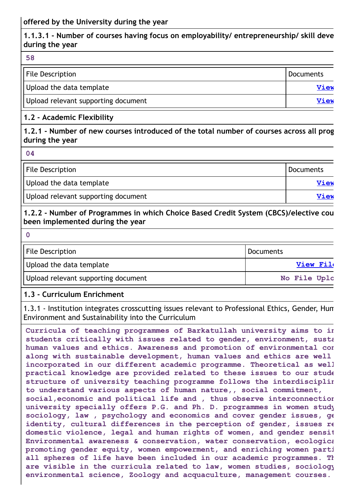## **1.1.3.1 - Number of courses having focus on employability/ entrepreneurship/ skill deve during the year**

| 58                                  |                  |
|-------------------------------------|------------------|
| <b>File Description</b>             | <b>Documents</b> |
| Upload the data template            | <b>View</b>      |
| Upload relevant supporting document | <b>View</b>      |

#### **1.2 - Academic Flexibility**

**1.2.1 - Number of new courses introduced of the total number of courses across all prog during the year**

**04**

**0**

| File Description                    | <b>Documents</b> |
|-------------------------------------|------------------|
| Upload the data template            | <b>View</b>      |
| Upload relevant supporting document | <b>View</b>      |

#### **1.2.2 - Number of Programmes in which Choice Based Credit System (CBCS)/elective cou been implemented during the year**

| $\mathbf{r}$ |  |
|--------------|--|

| File Description                    | Documents    |
|-------------------------------------|--------------|
| Upload the data template            | View File    |
| Upload relevant supporting document | No File Uplc |

#### **1.3 - Curriculum Enrichment**

1.3.1 - Institution integrates crosscutting issues relevant to Professional Ethics, Gender, Hum Environment and Sustainability into the Curriculum

**Curricula of teaching programmes of Barkatullah university aims to in students critically with issues related to gender, environment, susta human values and ethics. Awareness and promotion of environmental con along with sustainable development, human values and ethics are well incorporated in our different academic programme. Theoretical as well practical knowledge are provided related to these issues to our stude structure of university teaching programme follows the interdisciplin to understand various aspects of human nature,, social commitment, social,economic and political life and , thus observe interconnection university specially offers P.G. and Ph. D. programmes in women study sociology, law , psychology and economics and cover gender issues, ge identity, cultural differences in the perception of gender, issues re domestic violence, legal and human rights of women, and gender sensit Environmental awareness & conservation, water conservation, ecologica promoting gender equity, women empowerment, and enriching women parti all spheres of life have been included in our academic programmes. Th are visible in the curricula related to law, women studies, sociology environmental science, Zoology and acquaculture, management courses.**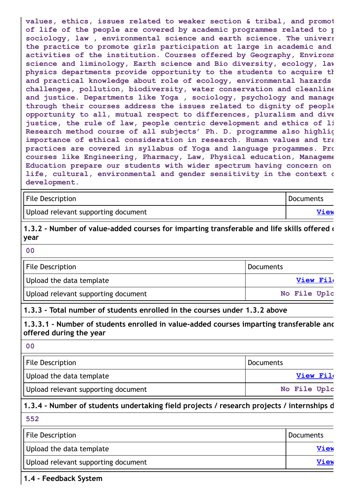**values, ethics, issues related to weaker section & tribal, and promot of life of the people are covered by academic programmes related to p sociology, law , environmental science and earth science. The univers the practice to promote girls participation at large in academic and activities of the institution. Courses offered by Geography, Environm science and liminology, Earth science and Bio diversity, ecology, law physics departments provide opportunity to the students to acquire th and practical knowledge about role of ecology, environmental hazards challenges, pollution, biodiversity, water conservation and cleanline and justice. Departments like Yoga , sociology, psychology and manage through their courses address the issues related to dignity of people opportunity to all, mutual respect to differences, pluralism and dive justice, the rule of law, people centric development and ethics of li Research method course of all subjects' Ph. D. programme also highlig importance of ethical consideration in research. Human values and tra practices are covered in syllabus of Yoga and language progammes. Pro courses like Engineering, Pharmacy, Law, Physical education, Manageme Education prepare our students with wider spectrum having concern on life, cultural, environmental and gender sensitivity in the context o development.**

| File Description                    | Documents |
|-------------------------------------|-----------|
| Upload relevant supporting document | View      |

**1.3.2 - Number of value-added courses for imparting transferable and life skills offered d year**

**00**

| <b>File Description</b>             | Documents    |
|-------------------------------------|--------------|
| Upload the data template            | View File    |
| Upload relevant supporting document | No File Uplc |

#### **1.3.3 - Total number of students enrolled in the courses under 1.3.2 above**

**1.3.3.1 - Number of students enrolled in value-added courses imparting transferable and offered during the year**

**00**

| <b>File Description</b>             | <b>Documents</b> |
|-------------------------------------|------------------|
| Upload the data template            | <b>View File</b> |
| Upload relevant supporting document | No File Uplc     |

## **1.3.4 - Number of students undertaking field projects / research projects / internships d**

**552**

| <b>File Description</b>             | Documents   |
|-------------------------------------|-------------|
| Upload the data template            | <b>View</b> |
| Upload relevant supporting document | <b>View</b> |

**1.4 - Feedback System**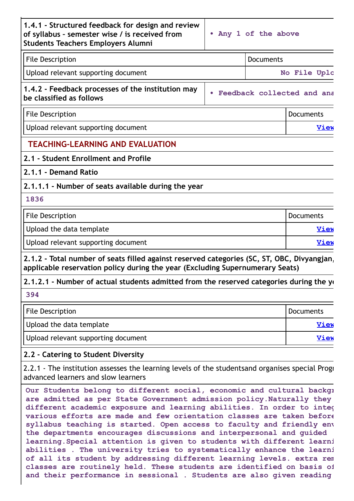| File Description                                  | Documents |              |  |
|---------------------------------------------------|-----------|--------------|--|
| Upload relevant supporting document               |           | No File Uplc |  |
| 1.4.2 - Feedback processes of the institution may |           |              |  |

**be classified as follows**

**• Feedback collected and ana**

| File Description                    | Documents |
|-------------------------------------|-----------|
| Upload relevant supporting document | "iew      |

## **TEACHING-LEARNING AND EVALUATION**

## **2.1 - Student Enrollment and Profile**

## **2.1.1 - Demand Ratio**

**2.1.1.1 - Number of seats available during the year**

#### **1836**

| <b>File Description</b>             | Documents   |
|-------------------------------------|-------------|
| Upload the data template            | <b>View</b> |
| Upload relevant supporting document | <b>View</b> |

**2.1.2 - Total number of seats filled against reserved categories (SC, ST, OBC, Divyangjan, applicable reservation policy during the year (Excluding Supernumerary Seats)**

## **2.1.2.1 - Number of actual students admitted from the reserved categories during the ye**

#### **394**

| File Description                    | <b>Documents</b> |
|-------------------------------------|------------------|
| Upload the data template            | <u>View</u>      |
| Upload relevant supporting document | <u>View</u>      |

## **2.2 - Catering to Student Diversity**

2.2.1 - The institution assesses the learning levels of the studentsand organises special Progr advanced learners and slow learners

**Our Students belong to different social, economic and cultural backgr are admitted as per State Government admission policy.Naturally they different academic exposure and learning abilities. In order to integ various efforts are made and few orientation classes are taken before syllabus teaching is started. Open access to faculty and friendly env the departments encourages discussions and interpersonal and guided learning.Special attention is given to students with different learni abilities . The university tries to systematically enhance the learni of all its student by addressing different learning levels. extra rem classes are routinely held. These students are identified on basis of and their performance in sessional . Students are also given reading**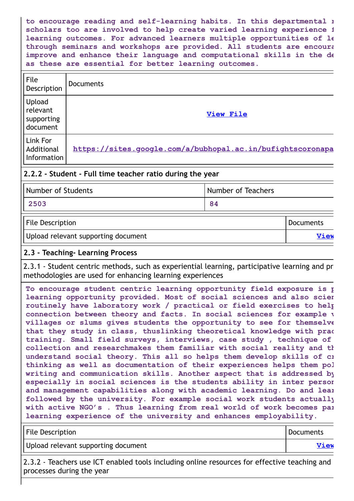**to encourage reading and self-learning habits. In this departmental r scholars too are involved to help create varied learning experience f learning outcomes. For advanced learners multiple opportunities of le through seminars and workshops are provided. All students are encoura improve and enhance their language and computational skills in the de as these are essential for better learning outcomes.**

| File<br>Description                                                                                                                                                                                                                                                                                                                                                                                                                                                            | <b>Documents</b>                                           |                                               |
|--------------------------------------------------------------------------------------------------------------------------------------------------------------------------------------------------------------------------------------------------------------------------------------------------------------------------------------------------------------------------------------------------------------------------------------------------------------------------------|------------------------------------------------------------|-----------------------------------------------|
| Upload<br>relevant<br>supporting<br>document                                                                                                                                                                                                                                                                                                                                                                                                                                   |                                                            | <b>View File</b>                              |
| Link For<br>Additional<br>Information                                                                                                                                                                                                                                                                                                                                                                                                                                          | https://sites.google.com/a/bubhopal.ac.in/bufightscoronapa |                                               |
| 2.2.2 - Student - Full time teacher ratio during the year                                                                                                                                                                                                                                                                                                                                                                                                                      |                                                            |                                               |
| $\blacksquare$ Models and a $\blacksquare$ $\blacksquare$ $\blacksquare$ $\blacksquare$ $\blacksquare$ $\blacksquare$ $\blacksquare$ $\blacksquare$ $\blacksquare$ $\blacksquare$ $\blacksquare$ $\blacksquare$ $\blacksquare$ $\blacksquare$ $\blacksquare$ $\blacksquare$ $\blacksquare$ $\blacksquare$ $\blacksquare$ $\blacksquare$ $\blacksquare$ $\blacksquare$ $\blacksquare$ $\blacksquare$ $\blacksquare$ $\blacksquare$ $\blacksquare$ $\blacksquare$ $\blacksquare$ |                                                            | All should not not $\mathbf{T}$ and all since |

| Number of Students                  | Number of Teachers |             |
|-------------------------------------|--------------------|-------------|
| 2503                                | 84                 |             |
| <b>File Description</b>             |                    | Documents   |
| Upload relevant supporting document |                    | <b>View</b> |

#### **2.3 - Teaching- Learning Process**

2.3.1 - Student centric methods, such as experiential learning, participative learning and pr methodologies are used for enhancing learning experiences

**To encourage student centric learning opportunity field exposure is p learning opportunity provided. Most of social sciences and also scien routinely have laboratory work / practical or field exercises to help connection between theory and facts. In social sciences for example v villages or slums gives students the opportunity to see for themselve that they study in class, thuslinking theoretical knowledge with prac training. Small field surveys, interviews, case study , technique of collection and researchmakes them familiar with social reality and th understand social theory. This all so helps them develop skills of cr thinking as well as documentation of their experiences helps them pol writing and communication skills. Another aspect that is addressed by especially in social sciences is the students ability in inter person and management capabilities along with academic learning. Do and lear followed by the university. For example social work students actually with active NGO's . Thus learning from real world of work becomes par learning experience of the university and enhances employability.**

| <b>File Description</b>             | Documents   |
|-------------------------------------|-------------|
| Upload relevant supporting document | <b>View</b> |

2.3.2 - Teachers use ICT enabled tools including online resources for effective teaching and processes during the year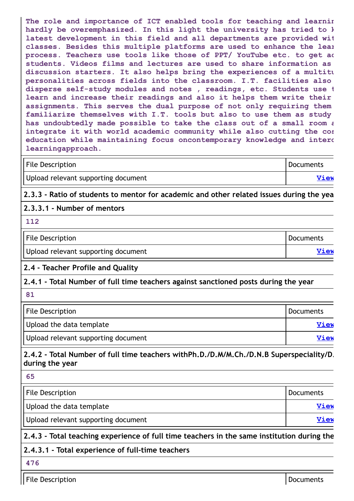**The role and importance of ICT enabled tools for teaching and learnin hardly be overemphasized. In this light the university has tried to k latest development in this field and all departments are provided wit classes. Besides this multiple platforms are used to enhance the lear process. Teachers use tools like those of PPT/ YouTube etc. to get ac students. Videos films and lectures are used to share information as discussion starters. It also helps bring the experiences of a multitu personalities across fields into the classroom. I.T. facilities also disperse self-study modules and notes , readings, etc. Students use t learn and increase their readings and also it helps them write their assignments. This serves the dual purpose of not only requiring them familiarize themselves with I.T. tools but also to use them as study has undoubtedly made possible to take the class out of a small room a integrate it with world academic community while also cutting the cos education while maintaining focus oncontemporary knowledge and interd learningapproach.**

| <b>File Description</b>             | Documents |
|-------------------------------------|-----------|
| Upload relevant supporting document | View      |

**2.3.3 - Ratio of students to mentor for academic and other related issues during the yea**

#### **2.3.3.1 - Number of mentors**

**112**

File Description Documents Upload relevant supporting document **[View](https://assessmentonline.naac.gov.in/storage/app/public/aqar/14581/14581_324_755.pdf?1653304430) View** 

## **2.4 - Teacher Profile and Quality**

## **2.4.1 - Total Number of full time teachers against sanctioned posts during the year**

**81**

| File Description                    | Documents   |
|-------------------------------------|-------------|
| Upload the data template            | <b>View</b> |
| Upload relevant supporting document | <b>View</b> |

**2.4.2 - Total Number of full time teachers withPh.D./D.M/M.Ch./D.N.B Superspeciality/D. during the year**

**65**

| File Description                    | <b>Documents</b> |
|-------------------------------------|------------------|
| Upload the data template            | View             |
| Upload relevant supporting document | View             |

## **2.4.3 - Total teaching experience of full time teachers in the same institution during the**

## **2.4.3.1 - Total experience of full-time teachers**

**476**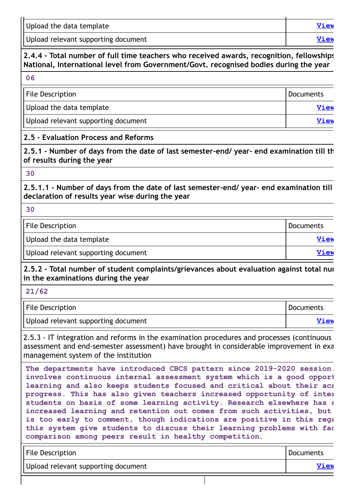| Upload the data template            | <b>View</b> |
|-------------------------------------|-------------|
| Upload relevant supporting document | View        |

## **2.4.4 - Total number of full time teachers who received awards, recognition, fellowships National, International level from Government/Govt. recognised bodies during the year**

**06**

| File Description                    | Documents   |
|-------------------------------------|-------------|
| Upload the data template            | <b>View</b> |
| Upload relevant supporting document | View        |

#### **2.5 - Evaluation Process and Reforms**

**2.5.1 - Number of days from the date of last semester-end/ year- end examination till th of results during the year**

#### **30**

**2.5.1.1 - Number of days from the date of last semester-end/ year- end examination till declaration of results year wise during the year**

**30**

File Description **Documents** 

Upload the data template **[View](https://assessmentonline.naac.gov.in/storage/app/public/aqar/14581/14581_329_764.xlsx?1653304430)**

Upload relevant supporting document **[View](https://assessmentonline.naac.gov.in/storage/app/public/aqar/14581/14581_329_765.pdf?1653304430) View** 

**2.5.2 - Total number of student complaints/grievances about evaluation against total num in the examinations during the year**

**21/62**

| File Description                    | <b>Documents</b> |
|-------------------------------------|------------------|
| Upload relevant supporting document | View             |

2.5.3 - IT integration and reforms in the examination procedures and processes (continuous assessment and end-semester assessment) have brought in considerable improvement in exa management system of the institution

**The departments have introduced CBCS pattern since 2019-2020 session. involves continuous internal assessment system which is a good opport learning and also keeps students focused and critical about their aca progress. This has also given teachers increased opportunity of inter students on basis of some learning activity. Research elsewhere has s increased learning and retention out comes from such activities, but is too early to comment, though indications are positive in this rega this system give students to discuss their learning problems with fac comparison among peers result in healthy competition.**

| <b>File Description</b>             | Documents |
|-------------------------------------|-----------|
| Upload relevant supporting document | View      |
|                                     |           |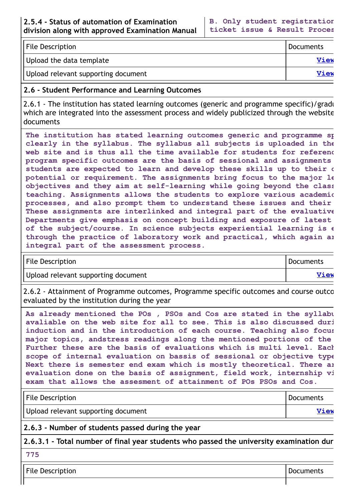| <b>File Description</b>             | Documents   |
|-------------------------------------|-------------|
| Upload the data template            | <b>View</b> |
| Upload relevant supporting document | <b>View</b> |

#### **2.6 - Student Performance and Learning Outcomes**

2.6.1 - The institution has stated learning outcomes (generic and programme specific)/gradu which are integrated into the assessment process and widely publicized through the website documents

**The institution has stated learning outcomes generic and programme sp clearly in the syllabus. The syllabus all subjects is uploaded in the web site and is thus all the time available for students for referenc program specific outcomes are the basis of sessional and assignments students are expected to learn and develop these skills up to their o potential or requirement. The assignments bring focus to the major le objectives and they aim at self-learning while going beyond the class teaching. Assignments allows the students to explore various academic processes, and also prompt them to understand these issues and their These assignments are interlinked and integral part of the evaluative Departments give emphasis on concept building and exposure of latest of the subject/course. In science subjects experiential learning is e through the practice of laboratory work and practical, which again ar integral part of the assessment process.**

| <b>File Description</b>             | Documents |
|-------------------------------------|-----------|
| Upload relevant supporting document | View      |

2.6.2 - Attainment of Programme outcomes, Programme specific outcomes and course outco evaluated by the institution during the year

**As already mentioned the POs , PSOs and Cos are stated in the syllabu avaliable on the web site for all to see. This is also discussed duri induction and in the introduction of each course. Teaching also focus major topics, andstress readings along the mentioned portions of the Further these are the basis of evaluations which is multi level. Each scope of internal evaluation on bassis of sessional or objective type Next there is semester end exam which is mostly theoretical. There ar evaluation done on the basis of assignment, field work, internship vi exam that allows the assesment of attainment of POs PSOs and Cos.**

| <b>File Description</b>             | Documents |
|-------------------------------------|-----------|
| Upload relevant supporting document | View      |

**2.6.3 - Number of students passed during the year**

**2.6.3.1 - Total number of final year students who passed the university examination dur**

**775**

File Description **Documents**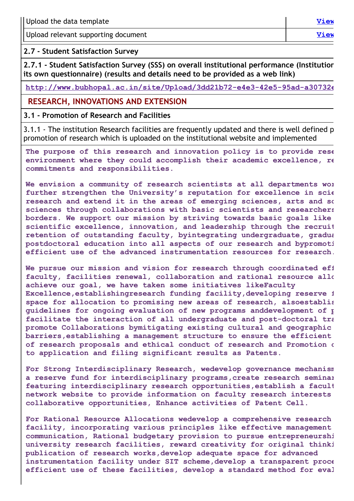| Upload the data template            | View |
|-------------------------------------|------|
| Upload relevant supporting document | View |

**2.7 - Student Satisfaction Survey**

**2.7.1 - Student Satisfaction Survey (SSS) on overall institutional performance (Institution its own questionnaire) (results and details need to be provided as a web link)**

**[http://www.bubhopal.ac.in/site/Upload/3dd21b72-e4e3-42e5-95ad-a30732e](http://www.bubhopal.ac.in/site/Upload/3dd21b72-e4e3-42e5-95ad-a30732e074b8.pdf)**

#### **RESEARCH, INNOVATIONS AND EXTENSION**

#### **3.1 - Promotion of Research and Facilities**

3.1.1 - The institution Research facilities are frequently updated and there is well defined p promotion of research which is uploaded on the institutional website and implemented

**The purpose of this research and innovation policy is to provide rese environment where they could accomplish their academic excellence, re commitments and responsibilities.**

**We envision a community of research scientists at all departments wor further strengthen the University's reputation for excellence in scie research and extend it in the areas of emerging sciences, arts and so sciences through collaborations with basic scientists and researchers borders. We support our mission by striving towards basic goals like scientific excellence, innovation, and leadership through the recruit retention of outstanding faculty, byintegrating undergraduate, gradua postdoctoral education into all aspects of our research and bypromoti efficient use of the advanced instrumentation resources for research.**

**We pursue our mission and vision for research through coordinated eff faculty, facilities renewal, collaboration and rational resource allo achieve our goal, we have taken some initiatives likeFaculty Excellence,establishingresearch funding facility,developing reserve f space for allocation to promising new areas of research, alsoestablis guidelines for ongoing evaluation of new programs anddevelopment of p facilitate the interaction of all undergraduate and post-doctoral tra promote Collaborations bymitigating existing cultural and geographic barriers,establishing a management structure to ensure the efficient of research proposals and ethical conduct of research and Promotion o to application and filing significant results as Patents.**

**For Strong Interdisciplinary Research, wedevelop governance mechanism a reserve fund for interdisciplinary programs,create research seminar featuring interdisciplinary research opportunities,establish a facult network website to provide information on faculty research interests collaborative opportunities, Enhance activities of Patent Cell.**

**For Rational Resource Allocations wedevelop a comprehensive research facility, incorporating various principles like effective management communication, Rational budgetary provision to pursue entrepreneurshi university research facilities, reward creativity for original thinki publication of research works,develop adequate space for advanced instrumentation facility under SIT scheme,develop a transparent proce efficient use of these facilities, develop a standard method for eval**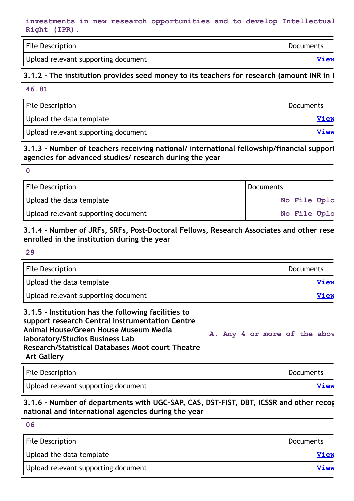#### **investments in new research opportunities and to develop Intellectual Right (IPR).**

| <b>File Description</b>             | Documents |
|-------------------------------------|-----------|
| Upload relevant supporting document | View      |

#### **3.1.2 - The institution provides seed money to its teachers for research (amount INR in L**

#### **46.81**

| File Description                    | Documents   |
|-------------------------------------|-------------|
| Upload the data template            | <b>View</b> |
| Upload relevant supporting document | <b>View</b> |

**3.1.3 - Number of teachers receiving national/ international fellowship/financial support agencies for advanced studies/ research during the year**

| ٠                 |
|-------------------|
|                   |
| ×<br>I<br>w<br>۰. |

| File Description                    | Documents    |  |
|-------------------------------------|--------------|--|
| Upload the data template            | No File Uplc |  |
| Upload relevant supporting document | No File Uplc |  |

#### **3.1.4 - Number of JRFs, SRFs, Post-Doctoral Fellows, Research Associates and other rese enrolled in the institution during the year**

**29**

| <b>File Description</b>                                                                                                                                                                                                                                       |                              | Documents |  |             |  |  |
|---------------------------------------------------------------------------------------------------------------------------------------------------------------------------------------------------------------------------------------------------------------|------------------------------|-----------|--|-------------|--|--|
| Upload the data template                                                                                                                                                                                                                                      |                              |           |  | <b>View</b> |  |  |
| Upload relevant supporting document                                                                                                                                                                                                                           |                              |           |  | <b>View</b> |  |  |
| 3.1.5 - Institution has the following facilities to<br>support research Central Instrumentation Centre<br>Animal House/Green House Museum Media<br>laboratory/Studios Business Lab<br>Research/Statistical Databases Moot court Theatre<br><b>Art Gallery</b> | A. Any 4 or more of the abov |           |  |             |  |  |

| <b>File Description</b>             | Documents |
|-------------------------------------|-----------|
| Upload relevant supporting document | View      |

**3.1.6 - Number of departments with UGC-SAP, CAS, DST-FIST, DBT, ICSSR and other recog national and international agencies during the year**

| 06                                  |                  |
|-------------------------------------|------------------|
| File Description                    | <b>Documents</b> |
| Upload the data template            | <b>View</b>      |
| Upload relevant supporting document | <b>View</b>      |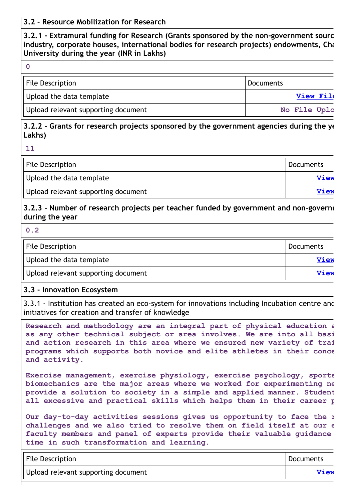#### **3.2 - Resource Mobilization for Research**

**3.2.1 - Extramural funding for Research (Grants sponsored by the non-government sourc industry, corporate houses, international bodies for research projects) endowments, Cha University during the year (INR in Lakhs)**

**0**

| <b>File Description</b>             | Documents        |
|-------------------------------------|------------------|
| Upload the data template            | <b>View File</b> |
| Upload relevant supporting document | No File Uplc     |

#### **3.2.2 - Grants for research projects sponsored by the government agencies during the ye Lakhs)**

**11**

| <b>File Description</b>             | <sup>I</sup> Documents |
|-------------------------------------|------------------------|
| Upload the data template            | View                   |
| Upload relevant supporting document | View                   |

#### **3.2.3 - Number of research projects per teacher funded by government and non-governm during the year**

**0.2**

| File Description<br>Documents       |             |
|-------------------------------------|-------------|
| Upload the data template            | <b>View</b> |
| Upload relevant supporting document | View        |

#### **3.3 - Innovation Ecosystem**

3.3.1 - Institution has created an eco-system for innovations including Incubation centre and initiatives for creation and transfer of knowledge

**Research and methodology are an integral part of physical education a as any other technical subject or area involves. We are into all basi and action research in this area where we ensured new variety of trai programs which supports both novice and elite athletes in their conce and activity.**

**Exercise management, exercise physiology, exercise psychology, sports biomechanics are the major areas where we worked for experimenting ne provide a solution to society in a simple and applied manner. Student all excessive and practical skills which helps them in their career p**

**Our day-to-day activities sessions gives us opportunity to face the r challenges and we also tried to resolve them on field itself at our e faculty members and panel of experts provide their valuable guidance time in such transformation and learning.**

| <b>File Description</b>             | Documents |
|-------------------------------------|-----------|
| Upload relevant supporting document | View      |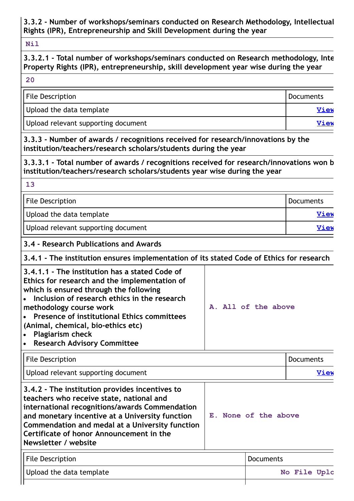**3.3.2 - Number of workshops/seminars conducted on Research Methodology, Intellectual Rights (IPR), Entrepreneurship and Skill Development during the year**

#### **Nil**

## **3.3.2.1 - Total number of workshops/seminars conducted on Research methodology, Inte Property Rights (IPR), entrepreneurship, skill development year wise during the year**

#### **20**

**13**

| <b>File Description</b>             | Documents   |
|-------------------------------------|-------------|
| Upload the data template            | View        |
| Upload relevant supporting document | <b>View</b> |

**3.3.3 - Number of awards / recognitions received for research/innovations by the institution/teachers/research scholars/students during the year**

**3.3.3.1 - Total number of awards / recognitions received for research/innovations won b institution/teachers/research scholars/students year wise during the year**

| File Description                    | Documents   |
|-------------------------------------|-------------|
| Upload the data template            | <b>View</b> |
| Upload relevant supporting document | View        |

#### **3.4 - Research Publications and Awards**

**3.4.1 - The institution ensures implementation of its stated Code of Ethics for research**

| 3.4.1.1 - The institution has a stated Code of<br>Ethics for research and the implementation of<br>which is ensured through the following<br>• Inclusion of research ethics in the research<br>methodology course work |  |  | A. All of the above |  |
|------------------------------------------------------------------------------------------------------------------------------------------------------------------------------------------------------------------------|--|--|---------------------|--|
| • Presence of institutional Ethics committees                                                                                                                                                                          |  |  |                     |  |
| (Animal, chemical, bio-ethics etc)                                                                                                                                                                                     |  |  |                     |  |
| • Plagiarism check                                                                                                                                                                                                     |  |  |                     |  |
| • Research Advisory Committee                                                                                                                                                                                          |  |  |                     |  |

File Description **Documents** Upload relevant supporting document **[View](https://assessmentonline.naac.gov.in/storage/app/public/aqar/14581/14581_349_795.pdf?1653304430) 3.4.2 - The institution provides incentives to teachers who receive state, national and international recognitions/awards Commendation and monetary incentive at a University function Commendation and medal at a University function Certificate of honor Announcement in the Newsletter / website E. None of the above**

| <b>File Description</b>  | <i>I</i> Documents |
|--------------------------|--------------------|
| Upload the data template | No File Uplc       |
|                          |                    |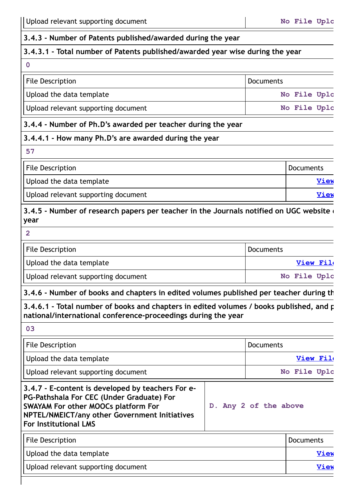#### **3.4.3 - Number of Patents published/awarded during the year**

#### **3.4.3.1 - Total number of Patents published/awarded year wise during the year**

#### **0**

| <b>File Description</b>             | Documents |              |  |
|-------------------------------------|-----------|--------------|--|
| Upload the data template            |           | No File Uplc |  |
| Upload relevant supporting document |           | No File Uplc |  |

#### **3.4.4 - Number of Ph.D's awarded per teacher during the year**

#### **3.4.4.1 - How many Ph.D's are awarded during the year**

**57**

| File Description                    | Documents |
|-------------------------------------|-----------|
| Upload the data template            | View      |
| Upload relevant supporting document | View      |

#### **3.4.5 - Number of research papers per teacher in the Journals notified on UGC website d year**

**2**

| File Description                    | Documents    |
|-------------------------------------|--------------|
| Upload the data template            | View File    |
| Upload relevant supporting document | No File Uplc |

## **3.4.6 - Number of books and chapters in edited volumes published per teacher during th**

**3.4.6.1 - Total number of books and chapters in edited volumes / books published, and p national/international conference-proceedings during the year**

**03**

| <b>File Description</b>                                                                                                                                                                                                       | Documents             |              |
|-------------------------------------------------------------------------------------------------------------------------------------------------------------------------------------------------------------------------------|-----------------------|--------------|
| Upload the data template                                                                                                                                                                                                      |                       | View File    |
| Upload relevant supporting document                                                                                                                                                                                           |                       | No File Uplc |
| 3.4.7 - E-content is developed by teachers For e-<br>PG-Pathshala For CEC (Under Graduate) For<br><b>SWAYAM For other MOOCs platform For</b><br>NPTEL/NMEICT/any other Government Initiatives<br><b>For Institutional LMS</b> | D. Any 2 of the above |              |
| <b>File Description</b>                                                                                                                                                                                                       |                       | Documents    |

| Upload the data template            | View |
|-------------------------------------|------|
| Upload relevant supporting document | View |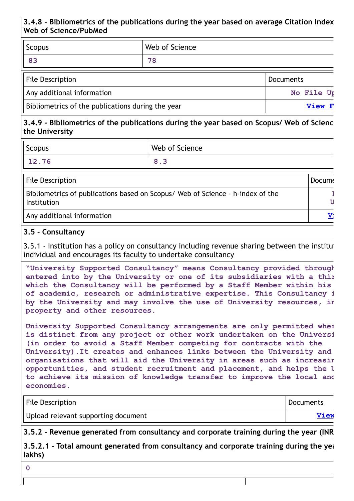## **3.4.8 - Bibliometrics of the publications during the year based on average Citation Index Web of Science/PubMed**

| <b>Scopus</b>              | Web of Science |                  |
|----------------------------|----------------|------------------|
| 83                         | 78             |                  |
| <b>File Description</b>    |                | <b>Documents</b> |
| Any additional information |                | No File Up       |

Bibliometrics of the publications during the year **[View](https://assessmentonline.naac.gov.in/storage/app/public/aqar/14581/14581_356_809.pdf?1653304430) F** 

## **3.4.9 - Bibliometrics of the publications during the year based on Scopus/ Web of Scienc the University**

| Scopus | Web of Science |
|--------|----------------|
| 12.76  | 8.3            |

| <b>File Description</b>                                                                       | Docume |
|-----------------------------------------------------------------------------------------------|--------|
| Bibliometrics of publications based on Scopus/ Web of Science - h-index of the<br>Institution |        |
| Any additional information                                                                    | T7.    |

#### **3.5 - Consultancy**

3.5.1 - Institution has a policy on consultancy including revenue sharing between the institu individual and encourages its faculty to undertake consultancy

**"University Supported Consultancy" means Consultancy provided through entered into by the University or one of its subsidiaries with a thir which the Consultancy will be performed by a Staff Member within his of academic, research or administrative expertise. This Consultancy i by the University and may involve the use of University resources, in property and other resources.**

**University Supported Consultancy arrangements are only permitted wher is distinct from any project or other work undertaken on the Universi (in order to avoid a Staff Member competing for contracts with the University).It creates and enhances links between the University and organisations that will aid the University in areas such as increasin opportunities, and student recruitment and placement, and helps the U to achieve its mission of knowledge transfer to improve the local and economies.**

| <b>File Description</b>             | Documents   |
|-------------------------------------|-------------|
| Upload relevant supporting document | <b>View</b> |

**3.5.2 - Revenue generated from consultancy and corporate training during the year (INR**

**3.5.2.1 - Total amount generated from consultancy and corporate training during the yea lakhs)**

**0**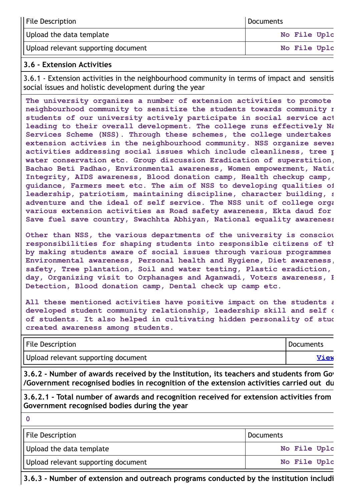| File Description                    | Documents    |
|-------------------------------------|--------------|
| Upload the data template            | No File Uplc |
| Upload relevant supporting document | No File Uplc |

#### **3.6 - Extension Activities**

3.6.1 - Extension activities in the neighbourhood community in terms of impact and sensitis social issues and holistic development during the year

**The university organizes a number of extension activities to promote neighbourhood community to sensitize the students towards community n students of our university actively participate in social service act leading to their overall development. The college runs effectively Na Services Scheme (NSS). Through these schemes, the college undertakes extension activies in the neighbourhood community. NSS organize sever activities addressing social issues which include cleanliness, tree p water conservation etc. Group discussion Eradication of superstition, Bachao Beti Padhao, Environmental awareness, Women empowerment, Natio Integrity, AIDS awareness, Blood donation camp, Health checkup camp, guidance, Farmers meet etc. The aim of NSS to developing qualities of leadership, patriotism, maintaining discipline, character building, s adventure and the ideal of self service. The NSS unit of college orga various extension activities as Road safety awareness, Ekta daud for Save fuel save country, Swachhta Abhiyan, National equality awareness**

**Other than NSS, the various departments of the university is consciou responsibilities for shaping students into responsible citizens of th by making students aware of social issues through various programmes Environmental awareness, Personal health and Hygiene, Diet awareness, safety, Tree plantation, Soil and water testing, Plastic eradiction, day, Organizing visit to Orphanages and Aganwadi, Voters awareness, B Detection, Blood donation camp, Dental check up camp etc.**

**All these mentioned activities have positive impact on the students a developed student community relationship, leadership skill and self c of students. It also helped in cultivating hidden personality of stud created awareness among students.**

| <b>File Description</b>             | <b>Documents</b> |
|-------------------------------------|------------------|
| Upload relevant supporting document | <b>View</b>      |

**3.6.2 - Number of awards received by the Institution, its teachers and students from Gov /Government recognised bodies in recognition of the extension activities carried out du**

**3.6.2.1 - Total number of awards and recognition received for extension activities from Government recognised bodies during the year**

**0**

| <b>File Description</b>             | Documents    |
|-------------------------------------|--------------|
| Upload the data template            | No File Uplc |
| Upload relevant supporting document | No File Uplc |

**3.6.3 - Number of extension and outreach programs conducted by the institution includi**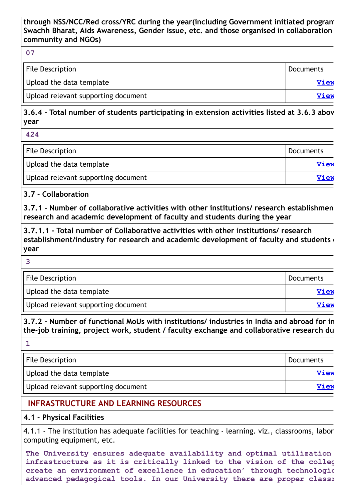#### **through NSS/NCC/Red cross/YRC during the year(including Government initiated program Swachh Bharat, Aids Awareness, Gender Issue, etc. and those organised in collaboration community and NGOs)**

#### **07**

| <b>File Description</b>             | Documents   |
|-------------------------------------|-------------|
| Upload the data template            | <b>View</b> |
| Upload relevant supporting document | <b>View</b> |

**3.6.4 - Total number of students participating in extension activities listed at 3.6.3 abov year**

**424**

| <b>File Description</b>             | <b>Documents</b> |
|-------------------------------------|------------------|
| Upload the data template            | View             |
| Upload relevant supporting document | View             |

#### **3.7 - Collaboration**

**3.7.1 - Number of collaborative activities with other institutions/ research establishmen research and academic development of faculty and students during the year**

**3.7.1.1 - Total number of Collaborative activities with other institutions/ research establishment/industry for research and academic development of faculty and students d year**

| e e<br>m.           |  |
|---------------------|--|
|                     |  |
|                     |  |
| ۰.<br>۰.<br>×<br>۰. |  |
|                     |  |
|                     |  |

| <b>File Description</b>             | Documents   |
|-------------------------------------|-------------|
| Upload the data template            | View        |
| Upload relevant supporting document | <b>View</b> |

**3.7.2 - Number of functional MoUs with institutions/ industries in India and abroad for in the-job training, project work, student / faculty exchange and collaborative research du**

| File Description                    | <b>Documents</b> |
|-------------------------------------|------------------|
| Upload the data template            | <b>View</b>      |
| Upload relevant supporting document | <b>View</b>      |

## **INFRASTRUCTURE AND LEARNING RESOURCES**

## **4.1 - Physical Facilities**

4.1.1 - The institution has adequate facilities for teaching - learning. viz., classrooms, labor computing equipment, etc.

**The University ensures adequate availability and optimal utilization infrastructure as it is critically linked to the vision of the colleg create an environment of excellence in education' through technologic advanced pedagogical tools. In our University there are proper classr**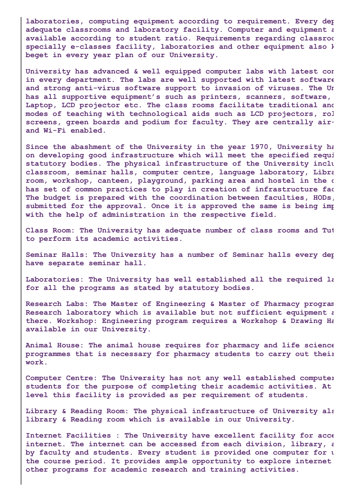**laboratories, computing equipment according to requirement. Every dep adequate classrooms and laboratory facility. Computer and equipment a available according to student ratio. Requirements regarding classroo specially e-classes facility, laboratories and other equipment also k beget in every year plan of our University.**

**University has advanced & well equipped computer labs with latest con in every department. The labs are well supported with latest software and strong anti-virus software support to invasion of viruses. The Un has all supportive equipment's such as printers, scanners, software, Laptop, LCD projector etc. The class rooms facilitate traditional and modes of teaching with technological aids such as LCD projectors, rol screens, green boards and podium for faculty. They are centrally airand Wi-Fi enabled.**

**Since the abashment of the University in the year 1970, University ha on developing good infrastructure which will meet the specified requi statutory bodies. The physical infrastructure of the University inclu classroom, seminar halls, computer centre, language laboratory, Libra room, workshop, canteen, playground, parking area and hostel in the c has set of common practices to play in creation of infrastructure fac The budget is prepared with the coordination between faculties, HODs, submitted for the approval. Once it is approved the same is being imp with the help of administration in the respective field.**

**Class Room: The University has adequate number of class rooms and Tut to perform its academic activities.**

**Seminar Halls: The University has a number of Seminar halls every dep have separate seminar hall.**

**Laboratories: The University has well established all the required la for all the programs as stated by statutory bodies.**

**Research Labs: The Master of Engineering & Master of Pharmacy program Research laboratory which is available but not sufficient equipment a there. Workshop: Engineering program requires a Workshop & Drawing Ha available in our University.**

**Animal House: The animal house requires for pharmacy and life science programmes that is necessary for pharmacy students to carry out their work.**

**Computer Centre: The University has not any well established computer students for the purpose of completing their academic activities. At level this facility is provided as per requirement of students.**

**Library & Reading Room: The physical infrastructure of University als library & Reading room which is available in our University.**

**Internet Facilities : The University have excellent facility for acce internet. The internet can be accessed from each division, library, a by faculty and students. Every student is provided one computer for u the course period. It provides ample opportunity to explore internet other programs for academic research and training activities.**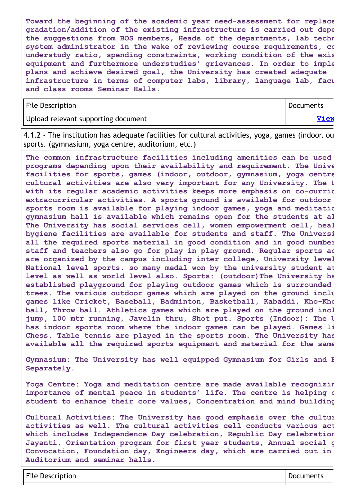**Toward the beginning of the academic year need-assessment for replace gradation/addition of the existing infrastructure is carried out depe the suggestions from BOS members, Heads of the departments, lab techn system administrator in the wake of reviewing course requirements, co understudy ratio, spending constraints, working condition of the exis equipment and furthermore understudies' grievances. In order to imple plans and achieve desired goal, the University has created adequate infrastructure in terms of computer labs, library, language lab, facu and class rooms Seminar Halls.**

| <b>File Description</b>             | Documents |
|-------------------------------------|-----------|
| Upload relevant supporting document | View      |

4.1.2 - The institution has adequate facilities for cultural activities, yoga, games (indoor, ou sports. (gymnasium, yoga centre, auditorium, etc.)

**The common infrastructure facilities including amenities can be used programs depending upon their availability and requirement. The Unive facilities for sports, games (indoor, outdoor, gymnasium, yoga centre cultural activities are also very important for any University. The U with its regular academic activities keeps more emphasis on co-curric extracurricular activities. A sports ground is available for outdoor sports room is available for playing indoor games, yoga and meditatio gymnasium hall is available which remains open for the students at al The University has social services cell, women empowerment cell, heal hygiene facilities are available for students and staff. The Universi all the required sports material in good condition and in good number staff and teachers also go for play in play ground. Regular sports ac are organized by the campus including inter college, University level National level sports. so many medal won by the university student at level as well as world level also. Sports: (outdoor)The University ha established playground for playing outdoor games which is surrounded trees. The various outdoor games which are played on the ground inclu games like Cricket, Baseball, Badminton, Basketball, Kabaddi, Kho-Kho ball, Throw ball. Athletics games which are played on the ground incl jump, 100 mtr running, Javelin thru, Shot put. Sports (Indoor): The U has indoor sports room where the indoor games can be played. Games li Chess, Table tennis are played in the sports room. The University has available all the required sports equipment and material for the same**

**Gymnasium: The University has well equipped Gymnasium for Girls and B Separately.**

**Yoga Centre: Yoga and meditation centre are made available recognizin importance of mental peace in students' life. The centre is helping o student to enhance their core values, Concentration and mind building**

**Cultural Activities: The University has good emphasis over the cultur activities as well. The cultural activities cell conducts various act which includes Independence Day celebration, Republic Day celebration Jayanti, Orientation program for first year students, Annual social g Convocation, Foundation day, Engineers day, which are carried out in Auditorium and seminar halls.**

File Description and a proportion of the Description of the Documents of the Documents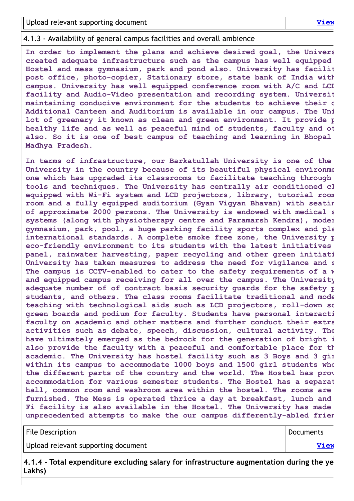#### 4.1.3 - Availability of general campus facilities and overall ambience

**In order to implement the plans and achieve desired goal, the Univers created adequate infrastructure such as the campus has well equipped Hostel and mess gymnasium, park and pond also. University has facilit post office, photo-copier, Stationary store, state bank of India with campus. University has well equipped conference room with A/C and LCD facility and Audio-Video presentation and recording system. Universit maintaining conducive environment for the students to achieve their d Additional Canteen and Auditorium is available in our campus. The Uni lot of greenery it known as clean and green environment. It provide p healthy life and as well as peaceful mind of students, faculty and ot also. So it is one of best campus of teaching and learning in Bhopal Madhya Pradesh.**

**In terms of infrastructure, our Barkatullah University is one of the University in the country because of its beautiful physical environme one which has upgraded its classrooms to facilitate teaching through tools and techniques. The University has centrally air conditioned cl equipped with Wi-Fi system and LCD projectors, library, tutorial room room and a fully equipped auditorium (Gyan Vigyan Bhavan) with seatin of approximate 2000 persons. The University is endowed with medical s systems (along with physiotherapy centre and Paramarsh Kendra), moder gymnasium, park, pool, a huge parking facility sports complex and pla international standards. A complete smoke free zone, the University p eco-friendly environment to its students with the latest initiatives panel, rainwater harvesting, paper recycling and other green initiati University has taken measures to address the need for vigilance and s The campus is CCTV-enabled to cater to the safety requirements of a w and equipped campus receiving for all over the campus. The University adequate number of of contract basis security guards for the safety p students, and others. The class rooms facilitate traditional and mode teaching with technological aids such as LCD projectors, roll-down sc green boards and podium for faculty. Students have personal interacti faculty on academic and other matters and further conduct their extra activities such as debate, speech, discussion, cultural activity. The have ultimately emerged as the bedrock for the generation of bright i also provide the faculty with a peaceful and comfortable place for th academic. The University has hostel facility such as 3 Boys and 3 gir within its campus to accommodate 1000 boys and 1500 girl students who the different parts of the country and the world. The Hostel has prov accommodation for various semester students. The Hostel has a separat hall, common room and washroom area within the hostel. The rooms are furnished. The Mess is operated thrice a day at breakfast, lunch and Fi facility is also available in the Hostel. The University has made unprecedented attempts to make the our campus differently-abled frien**

| <b>File Description</b>             | Documents |
|-------------------------------------|-----------|
| Upload relevant supporting document | View      |

**4.1.4 - Total expenditure excluding salary for infrastructure augmentation during the ye Lakhs)**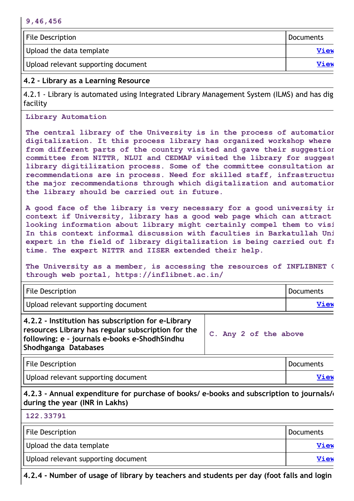| <b>File Description</b>             | Documents   |
|-------------------------------------|-------------|
| Upload the data template            | View        |
| Upload relevant supporting document | <b>View</b> |

## **4.2 - Library as a Learning Resource**

4.2.1 - Library is automated using Integrated Library Management System (ILMS) and has dig facility

#### **Library Automation**

**The central library of the University is in the process of automation digitalization. It this process library has organized workshop where from different parts of the country visited and gave their suggestion committee from NITTR, NLUI and CEDMAP visited the library for suggest library digitilization process. Some of the committee consultation an recommendations are in process. Need for skilled staff, infrastructur the major recommendations through which digitalization and automation the library should be carried out in future.**

**A good face of the library is very necessary for a good university in context if University, library has a good web page which can attract looking information about library might certainly compel them to visi In this context informal discussion with faculties in Barkatullah Uni expert in the field of library digitalization is being carried out fr time. The expert NITTR and IISER extended their help.**

**The University as a member, is accessing the resources of INFLIBNET C through web portal, https://inflibnet.ac.in/**

| <b>File Description</b>                                                                                                                                                           |                       | Documents   |
|-----------------------------------------------------------------------------------------------------------------------------------------------------------------------------------|-----------------------|-------------|
| Upload relevant supporting document                                                                                                                                               |                       | <b>View</b> |
| 4.2.2 - Institution has subscription for e-Library<br>resources Library has regular subscription for the<br>following: e - journals e-books e-ShodhSindhu<br>Shodhganga Databases | C. Any 2 of the above |             |

| File Description                    | Documents |
|-------------------------------------|-----------|
| Upload relevant supporting document | View      |

**4.2.3 - Annual expenditure for purchase of books/ e-books and subscription to journals/e during the year (INR in Lakhs)**

**122.33791**

| File Description                    | Documents |
|-------------------------------------|-----------|
| Upload the data template            | View      |
| Upload relevant supporting document | View      |

**4.2.4 - Number of usage of library by teachers and students per day (foot falls and login**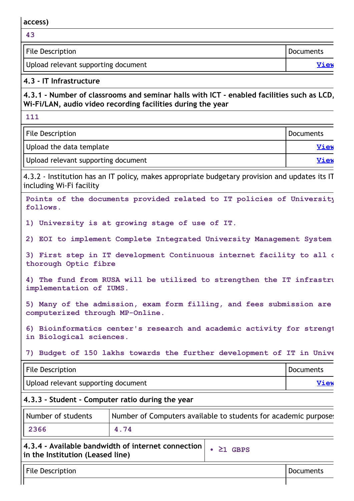**access)**

| -43                                 |           |
|-------------------------------------|-----------|
| File Description                    | Documents |
| Upload relevant supporting document | View      |

#### **4.3 - IT Infrastructure**

**4.3.1 - Number of classrooms and seminar halls with ICT - enabled facilities such as LCD, Wi-Fi/LAN, audio video recording facilities during the year**

**111**

| File Description                    | <b>I</b> Documents |
|-------------------------------------|--------------------|
| Upload the data template            | <b>View</b>        |
| Upload relevant supporting document | <b>View</b>        |

4.3.2 - Institution has an IT policy, makes appropriate budgetary provision and updates its IT including Wi-Fi facility

**Points of the documents provided related to IT policies of University follows.**

**1) University is at growing stage of use of IT.**

**2) EOI to implement Complete Integrated University Management System**

**3) First step in IT development Continuous internet facility to all d thorough Optic fibre**

**4) The fund from RUSA will be utilized to strengthen the IT infrastru implementation of IUMS.**

**5) Many of the admission, exam form filling, and fees submission are computerized through MP-Online.**

**6) Bioinformatics center's research and academic activity for strengt in Biological sciences.**

**7) Budget of 150 lakhs towards the further development of IT in Unive**

| File Description                    | Documents |
|-------------------------------------|-----------|
| Upload relevant supporting document | View      |

#### **4.3.3 - Student - Computer ratio during the year**

| Number of students | Number of Computers available to students for academic purpose. |
|--------------------|-----------------------------------------------------------------|
| 2366               | 4.74                                                            |

#### **4.3.4 - Available bandwidth of internet connection in the Institution (Leased line)**

**• ≥1 GBPS**

File Description **Documents**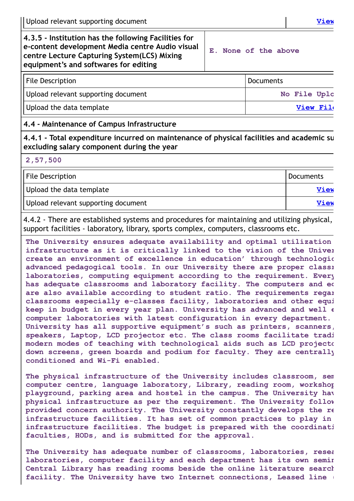#### **4.3.5 - Institution has the following Facilities for e-content development Media centre Audio visual centre Lecture Capturing System(LCS) Mixing equipment's and softwares for editing**

**E. None of the above**

| <b>File Description</b>             | <b>Documents</b> |
|-------------------------------------|------------------|
| Upload relevant supporting document | No File Uplc     |
| Upload the data template            | View File        |

#### **4.4 - Maintenance of Campus Infrastructure**

**4.4.1 - Total expenditure incurred on maintenance of physical facilities and academic su excluding salary component during the year**

**2,57,500**

| File Description                    | Documents |
|-------------------------------------|-----------|
| Upload the data template            | View      |
| Upload relevant supporting document | View      |

4.4.2 - There are established systems and procedures for maintaining and utilizing physical, support facilities - laboratory, library, sports complex, computers, classrooms etc.

**The University ensures adequate availability and optimal utilization infrastructure as it is critically linked to the vision of the Univer create an environment of excellence in education' through technologic advanced pedagogical tools. In our University there are proper classr laboratories, computing equipment according to the requirement. Every has adequate classrooms and laboratory facility. The computers and eq are also available according to student ratio. The requirements regar classrooms especially e-classes facility, laboratories and other equi keep in budget in every year plan. University has advanced and well e computer laboratories with latest configuration in every department. University has all supportive equipment's such as printers, scanners, speakers, Laptop, LCD projector etc. The class rooms facilitate tradi modern modes of teaching with technological aids such as LCD projecto down screens, green boards and podium for faculty. They are centrally conditioned and Wi-Fi enabled.**

**The physical infrastructure of the University includes classroom, sem computer centre, language laboratory, Library, reading room, workshop playground, parking area and hostel in the campus. The University hav physical infrastructure as per the requirement. The University follow provided concern authority. The University constantly develops the re infrastructure facilities. It has set of common practices to play in infrastructure facilities. The budget is prepared with the coordinati faculties, HODs, and is submitted for the approval.**

**The University has adequate number of classrooms, laboratories, resea laboratories, computer facility and each department has its own semin Central Library has reading rooms beside the online literature search facility. The University have two Internet connections, Leased line (**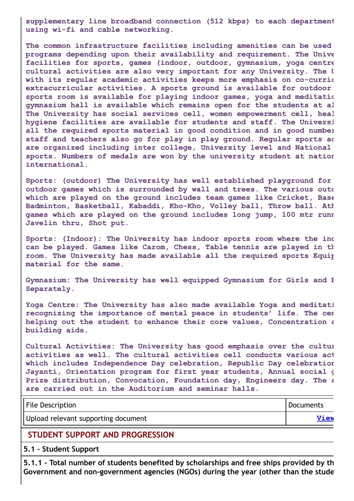**supplementary line broadband connection (512 kbps) to each department using wi-fi and cable networking.**

**The common infrastructure facilities including amenities can be used programs depending upon their availability and requirement. The Unive facilities for sports, games (indoor, outdoor, gymnasium, yoga centre cultural activities are also very important for any University. The U with its regular academic activities keeps more emphasis on co-curric extracurricular activities. A sports ground is available for outdoor sports room is available for playing indoor games, yoga and meditatio gymnasium hall is available which remains open for the students at al The University has social services cell, women empowerment cell, heal hygiene facilities are available for students and staff. The Universi all the required sports material in good condition and in good number staff and teachers also go for play in play ground. Regular sports ac are organized including inter college, University level and National sports. Numbers of medals are won by the university student at nation international.**

**Sports: (outdoor) The University has well established playground for outdoor games which is surrounded by wall and trees. The various outd which are played on the ground includes team games like Cricket, Base Badminton, Basketball, Kabaddi, Kho-Kho, Volley ball, Throw ball. Ath games which are played on the ground includes long jump, 100 mtr runn Javelin thru, Shot put.**

**Sports: (Indoor): The University has indoor sports room where the ind can be played. Games like Carom, Chess, Table tennis are played in th room. The University has made available all the required sports Equip material for the same.**

**Gymnasium: The University has well equipped Gymnasium for Girls and B Separately.**

**Yoga Centre: The University has also made available Yoga and meditati recognizing the importance of mental peace in students' life. The cen helping out the student to enhance their core values, Concentration a building aids.**

**Cultural Activities: The University has good emphasis over the cultur activities as well. The cultural activities cell conducts various act which includes Independence Day celebration, Republic Day celebration Jayanti, Orientation program for first year students, Annual social g Prize distribution, Convocation, Foundation day, Engineers day. The a are carried out in the Auditorium and seminar halls.**

| <b>File Description</b>             | <b>Documents</b> |
|-------------------------------------|------------------|
| Upload relevant supporting document | View             |

#### **STUDENT SUPPORT AND PROGRESSION**

**5.1 - Student Support**

**5.1.1 - Total number of students benefited by scholarships and free ships provided by th Government and non-government agencies (NGOs) during the year (other than the stude**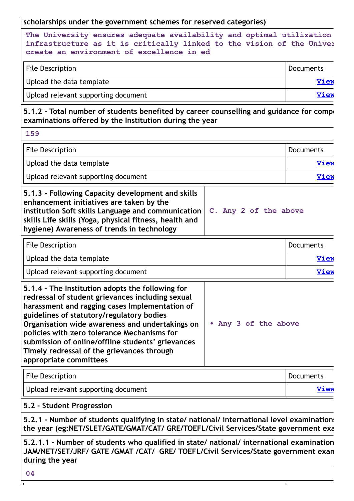#### **scholarships under the government schemes for reserved categories)**

**The University ensures adequate availability and optimal utilization infrastructure as it is critically linked to the vision of the Univer create an environment of excellence in ed**

| File Description                    | Documents   |
|-------------------------------------|-------------|
| Upload the data template            | <u>View</u> |
| Upload relevant supporting document | <b>View</b> |

**5.1.2 - Total number of students benefited by career counselling and guidance for compe examinations offered by the Institution during the year**

| $\sim$<br>u.<br>۰,<br>۰.<br>w<br>- |  |
|------------------------------------|--|
|------------------------------------|--|

| <b>File Description</b>                                                                                                                                                                                                                                     |                       | <b>Documents</b> |
|-------------------------------------------------------------------------------------------------------------------------------------------------------------------------------------------------------------------------------------------------------------|-----------------------|------------------|
| Upload the data template                                                                                                                                                                                                                                    |                       | <b>View</b>      |
| Upload relevant supporting document                                                                                                                                                                                                                         |                       | <b>View</b>      |
| 5.1.3 - Following Capacity development and skills<br>enhancement initiatives are taken by the<br>institution Soft skills Language and communication<br>skills Life skills (Yoga, physical fitness, health and<br>hygiene) Awareness of trends in technology | C. Any 2 of the above |                  |

| <b>File Description</b>             | Documents |
|-------------------------------------|-----------|
| Upload the data template            | View      |
| Upload relevant supporting document | View      |

| 5.1.4 - The Institution adopts the following for  |                      |
|---------------------------------------------------|----------------------|
| redressal of student grievances including sexual  |                      |
| harassment and ragging cases Implementation of    |                      |
| guidelines of statutory/regulatory bodies         |                      |
| Organisation wide awareness and undertakings on   | • Any 3 of the above |
| policies with zero tolerance Mechanisms for       |                      |
| submission of online/offline students' grievances |                      |
| Timely redressal of the grievances through        |                      |
| appropriate committees                            |                      |

| <b>File Description</b>             | Documents   |
|-------------------------------------|-------------|
| Upload relevant supporting document | <b>View</b> |

#### **5.2 - Student Progression**

**5.2.1 - Number of students qualifying in state/ national/ international level examinations the year (eg:NET/SLET/GATE/GMAT/CAT/ GRE/TOEFL/Civil Services/State government exa**

**5.2.1.1 - Number of students who qualified in state/ national/ international examination JAM/NET/SET/JRF/ GATE /GMAT /CAT/ GRE/ TOEFL/Civil Services/State government exam during the year**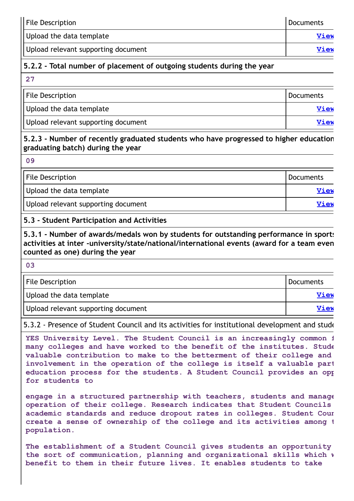| <b>File Description</b>             | Documents |
|-------------------------------------|-----------|
| Upload the data template            | View      |
| Upload relevant supporting document | View      |

## **5.2.2 - Total number of placement of outgoing students during the year**

| 27                                  |                  |
|-------------------------------------|------------------|
| <b>File Description</b>             | <b>Documents</b> |
| Upload the data template            | <b>View</b>      |
| Upload relevant supporting document | View             |

#### **5.2.3 - Number of recently graduated students who have progressed to higher education graduating batch) during the year**

**09**

| File Description                    | <b>Documents</b> |
|-------------------------------------|------------------|
| Upload the data template            | View             |
| Upload relevant supporting document | View             |

#### **5.3 - Student Participation and Activities**

**5.3.1 - Number of awards/medals won by students for outstanding performance in sports activities at inter -university/state/national/international events (award for a team even counted as one) during the year**

**03**

| <b>File Description</b>             | Documents   |
|-------------------------------------|-------------|
| Upload the data template            | <b>View</b> |
| Upload relevant supporting document | View        |

5.3.2 - Presence of Student Council and its activities for institutional development and stude

**YES University Level. The Student Council is an increasingly common f many colleges and have worked to the benefit of the institutes. Stude valuable contribution to make to the betterment of their college and involvement in the operation of the college is itself a valuable part education process for the students. A Student Council provides an opp for students to**

**engage in a structured partnership with teachers, students and manage operation of their college. Research indicates that Student Councils academic standards and reduce dropout rates in colleges. Student Coun create a sense of ownership of the college and its activities among t population.**

**The establishment of a Student Council gives students an opportunity the sort of communication, planning and organizational skills which w benefit to them in their future lives. It enables students to take**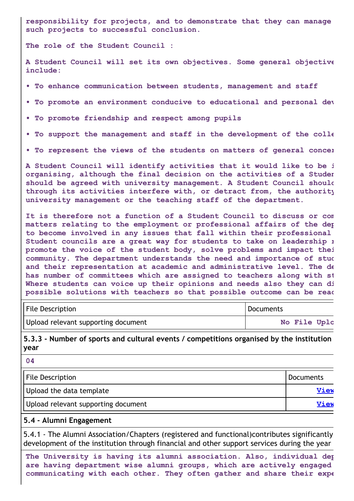**responsibility for projects, and to demonstrate that they can manage such projects to successful conclusion.**

**The role of the Student Council :**

**A Student Council will set its own objectives. Some general objective include:**

- **• To enhance communication between students, management and staff**
- **• To promote an environment conducive to educational and personal dev**
- **• To promote friendship and respect among pupils**
- **• To support the management and staff in the development of the colle**
- **• To represent the views of the students on matters of general concer**

**A Student Council will identify activities that it would like to be i organising, although the final decision on the activities of a Studen should be agreed with university management. A Student Council should through its activities interfere with, or detract from, the authority university management or the teaching staff of the department.**

**It is therefore not a function of a Student Council to discuss or com matters relating to the employment or professional affairs of the dep to become involved in any issues that fall within their professional Student councils are a great way for students to take on leadership r promote the voice of the student body, solve problems and impact thei community. The department understands the need and importance of stud and their representation at academic and administrative level. The de has number of committees which are assigned to teachers along with st Where students can voice up their opinions and needs also they can di possible solutions with teachers so that possible outcome can be reac**

| File Description                    | Documents    |
|-------------------------------------|--------------|
| Upload relevant supporting document | No File Uplc |

**5.3.3 - Number of sports and cultural events / competitions organised by the institution year**

| - - -                               |             |
|-------------------------------------|-------------|
| <b>File Description</b>             | Documents   |
| Upload the data template            | <b>View</b> |
| Upload relevant supporting document | View        |

#### **5.4 - Alumni Engagement**

**04**

5.4.1 - The Alumni Association/Chapters (registered and functional)contributes significantly development of the institution through financial and other support services during the year

**The University is having its alumni association. Also, individual dep are having department wise alumni groups, which are actively engaged communicating with each other. They often gather and share their expe**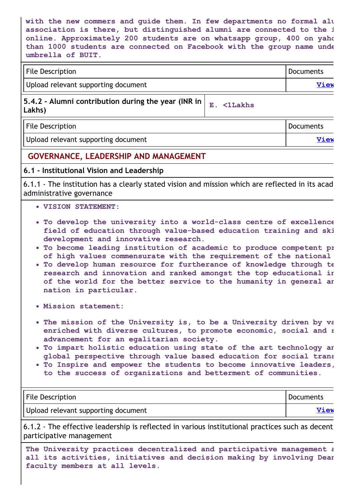**with the new commers and guide them. In few departments no formal alu association is there, but distinguished alumni are connected to the i online. Approximately 200 students are on whatsapp group, 400 on yaho than 1000 students are connected on Facebook with the group name unde umbrella of BUIT.**

| File Description                    | Documents |
|-------------------------------------|-----------|
| Upload relevant supporting document | View      |

## **5.4.2 - Alumni contribution during the year (INR in Lakhs) E. <1Lakhs**

| <b>File Description</b>             | Documents   |
|-------------------------------------|-------------|
| Upload relevant supporting document | <b>View</b> |

## **GOVERNANCE, LEADERSHIP AND MANAGEMENT**

#### **6.1 - Institutional Vision and Leadership**

6.1.1 - The institution has a clearly stated vision and mission which are reflected in its acad administrative governance

- **VISION STATEMENT:**
- **To develop the university into a world-class centre of excellence field of education through value-based education training and ski development and innovative research.**
- **To become leading institution of academic to produce competent pr of high values commensurate with the requirement of the national**
- **To develop human resource for furtherance of knowledge through te research and innovation and ranked amongst the top educational in of the world for the better service to the humanity in general an nation in particular.**
- **Mission statement:**
- **The mission of the University is, to be a University driven by va enriched with diverse cultures, to promote economic, social and s advancement for an egalitarian society.**
- **To impart holistic education using state of the art technology an global perspective through value based education for social trans**
- **To Inspire and empower the students to become innovative leaders, to the success of organizations and betterment of communities.**

| <b>File Description</b>             | <b>Documents</b> |
|-------------------------------------|------------------|
| Upload relevant supporting document | View             |

6.1.2 - The effective leadership is reflected in various institutional practices such as decent participative management

**The University practices decentralized and participative management a all its activities, initiatives and decision making by involving Dean faculty members at all levels.**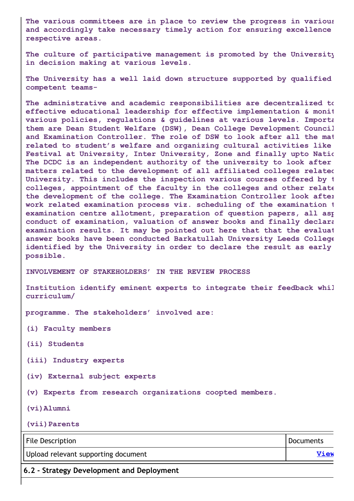**The various committees are in place to review the progress in various and accordingly take necessary timely action for ensuring excellence respective areas.**

**The culture of participative management is promoted by the University in decision making at various levels.**

**The University has a well laid down structure supported by qualified competent teams-**

**The administrative and academic responsibilities are decentralized to effective educational leadership for effective implementation & monit various policies, regulations & guidelines at various levels. Importa them are Dean Student Welfare (DSW), Dean College Development Council and Examination Controller. The role of DSW to look after all the mat related to student's welfare and organizing cultural activities like Festival at University, Inter University, Zone and finally upto Natio The DCDC is an independent authority of the university to look after matters related to the development of all affiliated colleges related University. This includes the inspection various courses offered by t colleges, appointment of the faculty in the colleges and other relate the development of the college. The Examination Controller look after work related examination process viz. scheduling of the examination t examination centre allotment, preparation of question papers, all asp conduct of examination, valuation of answer books and finally declara examination results. It may be pointed out here that that the evaluat answer books have been conducted Barkatullah University Leeds College identified by the University in order to declare the result as early possible.**

**INVOLVEMENT OF STAKEHOLDERS' IN THE REVIEW PROCESS**

**Institution identify eminent experts to integrate their feedback whil curriculum/**

**programme. The stakeholders' involved are:**

**(i) Faculty members**

**(ii) Students**

**(iii) Industry experts**

**(iv) External subject experts**

**(v) Experts from research organizations coopted members.**

**(vi)Alumni**

**(vii)Parents**

| File Description                    | <b>Documents</b> |
|-------------------------------------|------------------|
| Upload relevant supporting document | View             |
|                                     |                  |

**6.2 - Strategy Development and Deployment**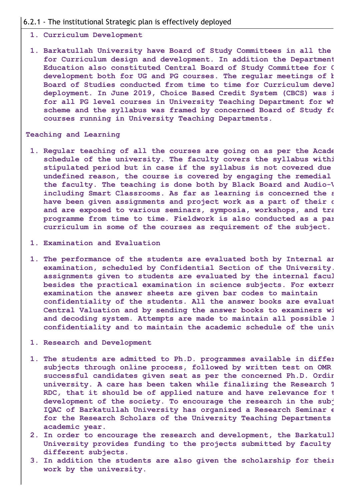#### 6.2.1 - The institutional Strategic plan is effectively deployed

#### **1. Curriculum Development**

**1. Barkatullah University have Board of Study Committees in all the for Curriculum design and development. In addition the Department Education also constituted Central Board of Study Committee for C development both for UG and PG courses. The regular meetings of b Board of Studies conducted from time to time for Curriculum devel deployment. In June 2019, Choice Based Credit System (CBCS) was i for all PG level courses in University Teaching Department for wh scheme and the syllabus was framed by concerned Board of Study fo courses running in University Teaching Departments.**

#### **Teaching and Learning**

- **1. Regular teaching of all the courses are going on as per the Acade schedule of the university. The faculty covers the syllabus withi stipulated period but in case if the syllabus is not covered due undefined reason, the course is covered by engaging the remedial the faculty. The teaching is done both by Black Board and Audio-V including Smart Classrooms. As far as learning is concerned the s have been given assignments and project work as a part of their c and are exposed to various seminars, symposia, workshops, and tra programme from time to time. Fieldwork is also conducted as a par curriculum in some of the courses as requirement of the subject.**
- **1. Examination and Evaluation**
- **1. The performance of the students are evaluated both by Internal an examination, scheduled by Confidential Section of the University. assignments given to students are evaluated by the internal facul besides the practical examination in science subjects. For extern examination the answer sheets are given bar codes to maintain confidentiality of the students. All the answer books are evaluat Central Valuation and by sending the answer books to examiners wi and decoding system. Attempts are made to maintain all possible l confidentiality and to maintain the academic schedule of the univ**
- **1. Research and Development**
- **1. The students are admitted to Ph.D. programmes available in differ subjects through online process, followed by written test on OMR successful candidates given seat as per the concerned Ph.D. Ordin university. A care has been taken while finalizing the Research T RDC, that it should be of applied nature and have relevance for t development of the society. To encourage the research in the subj IQAC of Barkatullah University has organized a Research Seminar e for the Research Scholars of the University Teaching Departments academic year.**
- **2. In order to encourage the research and development, the Barkatull University provides funding to the projects submitted by faculty different subjects.**
- **3. In addition the students are also given the scholarship for their work by the university.**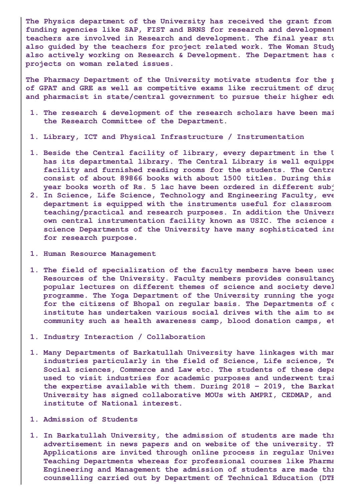**The Physics department of the University has received the grant from funding agencies like SAP, FIST and BRNS for research and development teachers are involved in Research and development. The final year stu also guided by the teachers for project related work. The Woman Study also actively working on Research & Development. The Department has c projects on woman related issues.**

**The Pharmacy Department of the University motivate students for the p of GPAT and GRE as well as competitive exams like recruitment of drug and pharmacist in state/central government to pursue their higher edu**

- **1. The research & development of the research scholars have been mai the Research Committee of the Department.**
- **1. Library, ICT and Physical Infrastructure / Instrumentation**
- **1. Beside the Central facility of library, every department in the U has its departmental library. The Central Library is well equippe facility and furnished reading rooms for the students. The Centra consist of about 89866 books with about 1500 titles. During this year books worth of Rs. 5 lac have been ordered in different subj**
- **2. In Science, Life Science, Technology and Engineering Faculty, eve department is equipped with the instruments useful for classroom teaching/practical and research purposes. In addition the Univers own central instrumentation facility known as USIC. The science a science Departments of the University have many sophisticated ins for research purpose.**
- **1. Human Resource Management**
- **1. The field of specialization of the faculty members have been used Resources of the University. Faculty members provides consultancy popular lectures on different themes of science and society devel programme. The Yoga Department of the University running the yoga for the citizens of Bhopal on regular basis. The Departments of o institute has undertaken various social drives with the aim to se community such as health awareness camp, blood donation camps, et**
- **1. Industry Interaction / Collaboration**
- **1. Many Departments of Barkatullah University have linkages with man industries particularly in the field of Science, Life science, Te Social sciences, Commerce and Law etc. The students of these depa used to visit industries for academic purposes and underwent trai the expertise available with them. During 2018 – 2019, the Barkat University has signed collaborative MOUs with AMPRI, CEDMAP, and institute of National interest.**
- **1. Admission of Students**
- **1. In Barkatullah University, the admission of students are made thr advertisement in news papers and on website of the university. Th Applications are invited through online process in regular Univer Teaching Departments whereas for professional courses like Pharma Engineering and Management the admission of students are made thr counselling carried out by Department of Technical Education (DTE**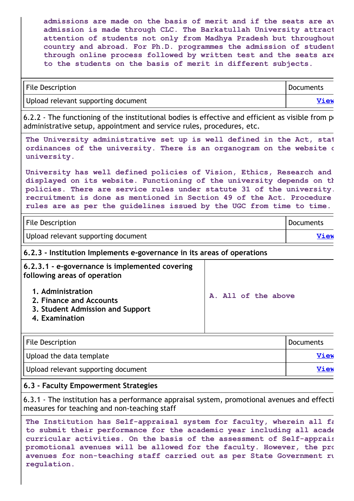**admissions are made on the basis of merit and if the seats are av admission is made through CLC. The Barkatullah University attract attention of students not only from Madhya Pradesh but throughout country and abroad. For Ph.D. programmes the admission of student through online process followed by written test and the seats are to the students on the basis of merit in different subjects.**

| <b>File Description</b>             | Documents   |
|-------------------------------------|-------------|
| Upload relevant supporting document | <b>View</b> |

6.2.2 - The functioning of the institutional bodies is effective and efficient as visible from  $p_1$ administrative setup, appointment and service rules, procedures, etc.

**The University administrative set up is well defined in the Act, stat ordinances of the university. There is an organogram on the website o university.**

**University has well defined policies of Vision, Ethics, Research and displayed on its website. Functioning of the university depends on th policies. There are service rules under statute 31 of the university. recruitment is done as mentioned in Section 49 of the Act. Procedure rules are as per the guidelines issued by the UGC from time to time.**

| <b>File Description</b>             | Documents |
|-------------------------------------|-----------|
| Upload relevant supporting document | View      |

#### **6.2.3 - Institution Implements e-governance in its areas of operations**

| 6.2.3.1 - e-governance is implemented covering<br>following areas of operation                     |                     |
|----------------------------------------------------------------------------------------------------|---------------------|
| 1. Administration<br>2. Finance and Accounts<br>3. Student Admission and Support<br>4. Examination | A. All of the above |
|                                                                                                    |                     |

| File Description                    | Documents   |
|-------------------------------------|-------------|
| Upload the data template            | <b>View</b> |
| Upload relevant supporting document | View        |

#### **6.3 - Faculty Empowerment Strategies**

6.3.1 - The institution has a performance appraisal system, promotional avenues and effecti measures for teaching and non-teaching staff

**The Institution has Self-appraisal system for faculty, wherein all fa to submit their performance for the academic year including all acade curricular activities. On the basis of the assessment of Self-apprais promotional avenues will be allowed for the faculty. However, the pro avenues for non-teaching staff carried out as per State Government ru regulation.**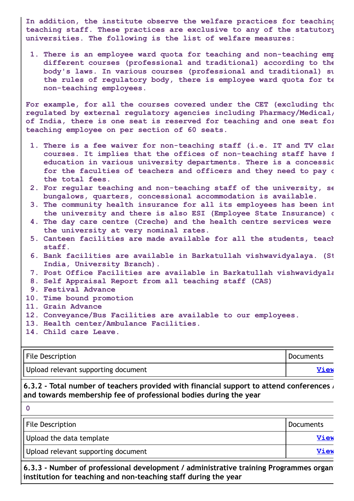**In addition, the institute observe the welfare practices for teaching teaching staff. These practices are exclusive to any of the statutory universities. The following is the list of welfare measures:**

**1. There is an employee ward quota for teaching and non-teaching emp different courses (professional and traditional) according to the body's laws. In various courses (professional and traditional) su the rules of regulatory body, there is employee ward quota for te non-teaching employees.**

**For example, for all the courses covered under the CET (excluding tho regulated by external regulatory agencies including Pharmacy/Medical/ of India, there is one seat is reserved for teaching and one seat for teaching employee on per section of 60 seats.**

- **1. There is a fee waiver for non-teaching staff (i.e. IT and TV clas courses. It implies that the offices of non-teaching staff have f education in various university departments. There is a concessio for the faculties of teachers and officers and they need to pay o the total fees.**
- **2. For regular teaching and non-teaching staff of the university, se bungalows, quarters, concessional accommodation is available.**
- **3. The community health insurance for all its employees has been int the university and there is also ESI (Employee State Insurance) c**
- **4. The day care centre (Creche) and the health centre services were the university at very nominal rates.**
- **5. Canteen facilities are made available for all the students, teach staff.**
- **6. Bank facilities are available in Barkatullah vishwavidyalaya. (St India, University Branch).**

**7. Post Office Facilities are available in Barkatullah vishwavidyala**

- **8. Self Appraisal Report from all teaching staff (CAS)**
- **9. Festival Advance**
- **10. Time bound promotion**
- **11. Grain Advance**
- **12. Conveyance/Bus Facilities are available to our employees.**
- **13. Health center/Ambulance Facilities.**
- **14. Child care Leave.**

| File Description                    | Documents   |
|-------------------------------------|-------------|
| Upload relevant supporting document | <b>View</b> |

#### **6.3.2 - Total number of teachers provided with financial support to attend conferences / and towards membership fee of professional bodies during the year**

| File Description                    | Documents   |
|-------------------------------------|-------------|
| Upload the data template            | View        |
| Upload relevant supporting document | <b>View</b> |
|                                     |             |

**6.3.3 - Number of professional development / administrative training Programmes organi institution for teaching and non-teaching staff during the year**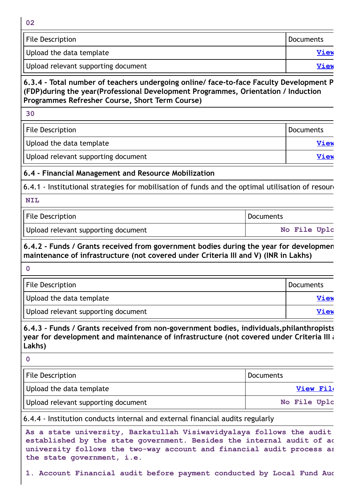| w<br>۰. |  |
|---------|--|
|         |  |

| File Description                    | Documents |
|-------------------------------------|-----------|
| Upload the data template            | View      |
| Upload relevant supporting document | View      |

#### **6.3.4 - Total number of teachers undergoing online/ face-to-face Faculty Development P (FDP)during the year(Professional Development Programmes, Orientation / Induction Programmes Refresher Course, Short Term Course)**

**30**

| <b>File Description</b>             | Documents   |
|-------------------------------------|-------------|
| Upload the data template            | View        |
| Upload relevant supporting document | <b>View</b> |

## **6.4 - Financial Management and Resource Mobilization**

6.4.1 - Institutional strategies for mobilisation of funds and the optimal utilisation of resoure

#### **NIL**

| File Description                    | Documents |              |  |
|-------------------------------------|-----------|--------------|--|
| Upload relevant supporting document |           | No File Uplc |  |

**6.4.2 - Funds / Grants received from government bodies during the year for developmen maintenance of infrastructure (not covered under Criteria III and V) (INR in Lakhs)**

**0** File Description **Documents** Upload the data template **[View](https://assessmentonline.naac.gov.in/storage/app/public/aqar/14581/14581_403_883.xlsx?1653304431) Service Contract of the Upload the data template**  $\sqrt{2}$ Upload relevant supporting document **[View](https://assessmentonline.naac.gov.in/storage/app/public/aqar/14581/14581_403_884.xlsx?1653304431)** 

**6.4.3 - Funds / Grants received from non-government bodies, individuals,philanthropists year for development and maintenance of infrastructure (not covered under Criteria III a Lakhs)**

**0**

| File Description                    | Documents        |
|-------------------------------------|------------------|
| Upload the data template            | <b>View File</b> |
| Upload relevant supporting document | No File Uplc     |

6.4.4 - Institution conducts internal and external financial audits regularly

**As a state university, Barkatullah Visiwavidyalaya follows the audit established by the state government. Besides the internal audit of ac university follows the two-way account and financial audit process as the state government, i.e.**

**1. Account Financial audit before payment conducted by Local Fund Aud**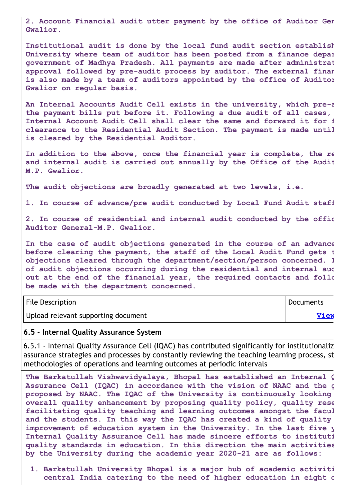**2. Account Financial audit utter payment by the office of Auditor Gen Gwalior.**

**Institutional audit is done by the local fund audit section establish University where team of auditor has been posted from a finance depar government of Madhya Pradesh. All payments are made after administrat approval followed by pre-audit process by auditor. The external finan is also made by a team of auditors appointed by the office of Auditor Gwalior on regular basis.**

**An Internal Accounts Audit Cell exists in the university, which pre-a the payment bills put before it. Following a due audit of all cases, Internal Account Audit Cell shall clear the same and forward it for f clearance to the Residential Audit Section. The payment is made until is cleared by the Residential Auditor.**

**In addition to the above, once the financial year is complete, the re and internal audit is carried out annually by the Office of the Audit M.P. Gwalior.**

**The audit objections are broadly generated at two levels, i.e.**

**1. In course of advance/pre audit conducted by Local Fund Audit staff**

**2. In course of residential and internal audit conducted by the offic Auditor General-M.P. Gwalior.**

**In the case of audit objections generated in the course of an advance before clearing the payment, the staff of the Local Audit Fund gets t objections cleared through the department/section/person concerned. I of audit objections occurring during the residential and internal aud out at the end of the financial year, the required contacts and follo be made with the department concerned.**

| <b>File Description</b>             | Documents |
|-------------------------------------|-----------|
| Upload relevant supporting document | View      |

#### **6.5 - Internal Quality Assurance System**

6.5.1 - Internal Quality Assurance Cell (IQAC) has contributed significantly for institutionaliz assurance strategies and processes by constantly reviewing the teaching learning process, st methodologies of operations and learning outcomes at periodic intervals

**The Barkatullah Vishwavidyalaya, Bhopal has established an Internal Q Assurance Cell (IQAC) in accordance with the vision of NAAC and the g proposed by NAAC. The IQAC of the University is continuously looking overall quality enhancement by proposing quality policy, quality rese facilitating quality teaching and learning outcomes amongst the facul and the students. In this way the IQAC has created a kind of quality improvement of education system in the University. In the last five y Internal Quality Assurance Cell has made sincere efforts to instituti quality standards in education. In this direction the main activities by the University during the academic year 2020-21 are as follows:**

**1. Barkatullah University Bhopal is a major hub of academic activiti central India catering to the need of higher education in eight d**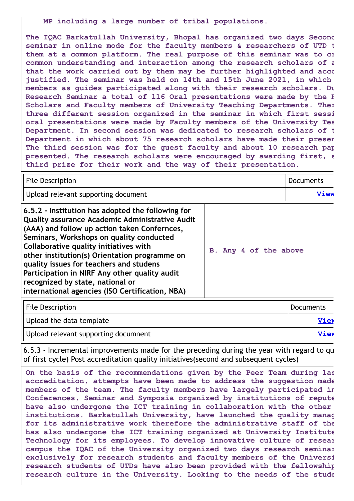**MP including a large number of tribal populations.**

**The IQAC Barkatullah University, Bhopal has organized two days Second seminar in online mode for the faculty members & researchers of UTD t them at a common platform. The real purpose of this seminar was to cr common understanding and interaction among the research scholars of a that the work carried out by them may be further highlighted and acco justified. The seminar was held on 14th and 15th June 2021, in which members as guides participated along with their research scholars. Du Research Seminar a total of 116 Oral presentations were made by the R Scholars and Faculty members of University Teaching Departments. Ther three different session organized in the seminar in which first sessi oral presentations were made by Faculty members of the University Tea Department. In second session was dedicated to research scholars of t Department in which about 75 research scholars have made their presen The third session was for the guest faculty and about 10 research pap presented. The research scholars were encouraged by awarding first, s third prize for their work and the way of their presentation.**

| <b>File Description</b>                                                                                                                                                                                                                                                                                                                                                                                                                                                               |                       | Documents   |
|---------------------------------------------------------------------------------------------------------------------------------------------------------------------------------------------------------------------------------------------------------------------------------------------------------------------------------------------------------------------------------------------------------------------------------------------------------------------------------------|-----------------------|-------------|
| Upload relevant supporting document                                                                                                                                                                                                                                                                                                                                                                                                                                                   |                       | <b>View</b> |
| 6.5.2 - Institution has adopted the following for<br><b>Quality assurance Academic Administrative Audit</b><br>(AAA) and follow up action taken Confernces,<br>Seminars, Workshops on quality conducted<br>Collaborative quality initiatives with<br>other institution(s) Orientation programme on<br>quality issues for teachers and studens<br>Participation in NIRF Any other quality audit<br>recognized by state, national or<br>international agencies (ISO Certification, NBA) | B. Any 4 of the above |             |

| File Description                     | Documents   |
|--------------------------------------|-------------|
| Upload the data template             | Viev        |
| Upload relevant supporting documnent | <b>Viev</b> |

6.5.3 - Incremental improvements made for the preceding during the year with regard to qu of first cycle) Post accreditation quality initiatives(second and subsequent cycles)

**On the basis of the recommendations given by the Peer Team during las accreditation, attempts have been made to address the suggestion made members of the team. The faculty members have largely participated in Conferences, Seminar and Symposia organized by institutions of repute have also undergone the ICT training in collaboration with the other institutions. Barkatullah University, have launched the quality manag for its administrative work therefore the administrative staff of the has also undergone the ICT training organized at University Institute Technology for its employees. To develop innovative culture of resear campus the IQAC of the University organized two days research seminar exclusively for research students and faculty members of the Universi research students of UTDs have also been provided with the fellowship research culture in the University. Looking to the needs of the stude**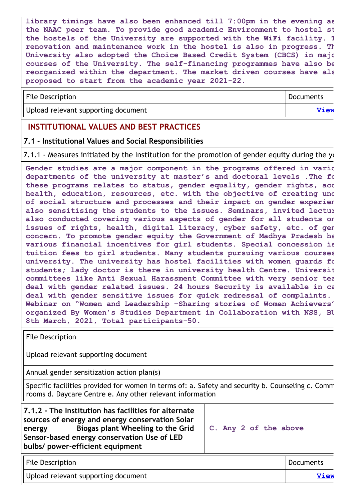**library timings have also been enhanced till 7:00pm in the evening as the NAAC peer team. To provide good academic Environment to hostel st the hostels of the University are supported with the WiFi facility. T renovation and maintenance work in the hostel is also in progress. Th University also adopted the Choice Based Credit System (CBCS) in majo courses of the University. The self-financing programmes have also be reorganized within the department. The market driven courses have als proposed to start from the academic year 2021-22.**

| File Description                    | <b>I</b> Documents |
|-------------------------------------|--------------------|
| Upload relevant supporting document | <b>View</b>        |

## **INSTITUTIONAL VALUES AND BEST PRACTICES**

#### **7.1 - Institutional Values and Social Responsibilities**

7.1.1 - Measures initiated by the Institution for the promotion of gender equity during the  $y_1$ 

**Gender studies are a major component in the programs offered in vario departments of the university at master's and doctoral levels .The fo these programs relates to status, gender equality, gender rights, acc health, education, resources, etc. with the objective of creating und of social structure and processes and their impact on gender experien also sensitising the students to the issues. Seminars, invited lectur also conducted covering various aspects of gender for all students on issues of rights, health, digital literacy, cyber safety, etc. of gen concern. To promote gender equity the Government of Madhya Pradesh ha various financial incentives for girl students. Special concession is tuition fees to girl students. Many students pursuing various courses university. The university has hostel facilities with women guards fo students; lady doctor is there in university health Centre. Universit committees like Anti Sexual Harassment Committee with very senior tea deal with gender related issues. 24 hours Security is available in ca deal with gender sensitive issues for quick redressal of complaints. Webinar on "Women and Leadership –Sharing stories of Women Achievers" organized By Women's Studies Department in Collaboration with NSS, BU 8th March, 2021, Total participants-50.**

File Description

Upload relevant supporting document

Annual gender sensitization action plan(s)

Specific facilities provided for women in terms of: a. Safety and security b. Counseling c. Comm rooms d. Daycare Centre e. Any other relevant information

| 7.1.2 - The Institution has facilities for alternate<br>sources of energy and energy conservation Solar<br>Biogas plant Wheeling to the Grid<br>energy<br>Sensor-based energy conservation Use of LED<br>bulbs/ power-efficient equipment | C. Any 2 of the above |
|-------------------------------------------------------------------------------------------------------------------------------------------------------------------------------------------------------------------------------------------|-----------------------|
| <b>Eilo Doccription</b>                                                                                                                                                                                                                   | Documonts             |

| <b>File Description</b>             | Documents |
|-------------------------------------|-----------|
| Upload relevant supporting document | View      |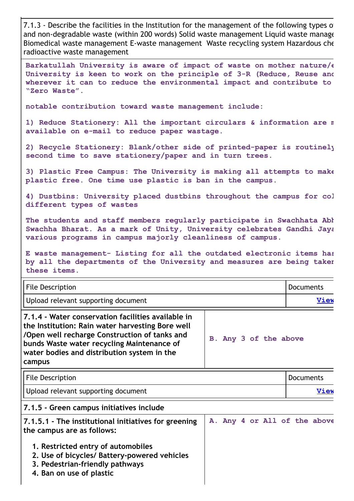7.1.3 - Describe the facilities in the Institution for the management of the following types of and non-degradable waste (within 200 words) Solid waste management Liquid waste manage Biomedical waste management E-waste management Waste recycling system Hazardous che radioactive waste management

**Barkatullah University is aware of impact of waste on mother nature/e University is keen to work on the principle of 3-R (Reduce, Reuse and wherever it can to reduce the environmental impact and contribute to "Zero Waste".**

**notable contribution toward waste management include:**

**1) Reduce Stationery: All the important circulars & information are m available on e-mail to reduce paper wastage.**

**2) Recycle Stationery: Blank/other side of printed-paper is routinely second time to save stationery/paper and in turn trees.**

**3) Plastic Free Campus: The University is making all attempts to make plastic free. One time use plastic is ban in the campus.**

**4) Dustbins: University placed dustbins throughout the campus for col different types of wastes**

**The students and staff members regularly participate in Swachhata Abh Swachha Bharat. As a mark of Unity, University celebrates Gandhi Jaya various programs in campus majorly cleanliness of campus.**

**E waste management- Listing for all the outdated electronic items has by all the departments of the University and measures are being taken these items.**

| <b>File Description</b>                                                                                                                                                                                                                                        |                              | <b>Documents</b> |
|----------------------------------------------------------------------------------------------------------------------------------------------------------------------------------------------------------------------------------------------------------------|------------------------------|------------------|
| Upload relevant supporting document                                                                                                                                                                                                                            |                              | View             |
| 7.1.4 - Water conservation facilities available in<br>the Institution: Rain water harvesting Bore well<br>/Open well recharge Construction of tanks and<br>bunds Waste water recycling Maintenance of<br>water bodies and distribution system in the<br>campus | B. Any 3 of the above        |                  |
| <b>File Description</b>                                                                                                                                                                                                                                        |                              | <b>Documents</b> |
| Upload relevant supporting document                                                                                                                                                                                                                            |                              | View             |
| 7.1.5 - Green campus initiatives include                                                                                                                                                                                                                       |                              |                  |
| 7.1.5.1 - The institutional initiatives for greening<br>the campus are as follows:                                                                                                                                                                             | A. Any 4 or All of the above |                  |
| 1. Restricted entry of automobiles<br>2. Use of bicycles/ Battery-powered vehicles<br>3. Pedestrian-friendly pathways<br>4. Ban on use of plastic                                                                                                              |                              |                  |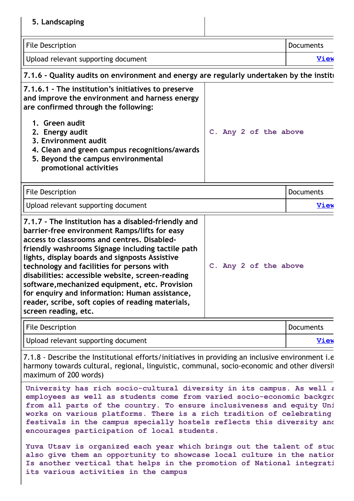| 5. Landscaping                                                                                                                                                                                                                                                                                                                                                                                                                                                                                                                                |                       |                  |
|-----------------------------------------------------------------------------------------------------------------------------------------------------------------------------------------------------------------------------------------------------------------------------------------------------------------------------------------------------------------------------------------------------------------------------------------------------------------------------------------------------------------------------------------------|-----------------------|------------------|
| <b>File Description</b>                                                                                                                                                                                                                                                                                                                                                                                                                                                                                                                       |                       | <b>Documents</b> |
| Upload relevant supporting document                                                                                                                                                                                                                                                                                                                                                                                                                                                                                                           |                       | <u>View</u>      |
| 7.1.6 - Quality audits on environment and energy are regularly undertaken by the instite                                                                                                                                                                                                                                                                                                                                                                                                                                                      |                       |                  |
| 7.1.6.1 - The institution's initiatives to preserve<br>and improve the environment and harness energy<br>are confirmed through the following:<br>1. Green audit<br>2. Energy audit<br>3. Environment audit<br>4. Clean and green campus recognitions/awards<br>5. Beyond the campus environmental<br>promotional activities                                                                                                                                                                                                                   | C. Any 2 of the above |                  |
|                                                                                                                                                                                                                                                                                                                                                                                                                                                                                                                                               |                       |                  |
| <b>File Description</b>                                                                                                                                                                                                                                                                                                                                                                                                                                                                                                                       |                       | <b>Documents</b> |
| Upload relevant supporting document                                                                                                                                                                                                                                                                                                                                                                                                                                                                                                           |                       | <b>View</b>      |
| 7.1.7 - The Institution has a disabled-friendly and<br>barrier-free environment Ramps/lifts for easy<br>access to classrooms and centres. Disabled-<br>friendly washrooms Signage including tactile path<br>lights, display boards and signposts Assistive<br>technology and facilities for persons with<br>disabilities: accessible website, screen-reading<br>software, mechanized equipment, etc. Provision<br>for enquiry and information: Human assistance,<br>reader, scribe, soft copies of reading materials,<br>screen reading, etc. | C. Any 2 of the above |                  |
| <b>File Description</b>                                                                                                                                                                                                                                                                                                                                                                                                                                                                                                                       |                       | <b>Documents</b> |

7.1.8 - Describe the Institutional efforts/initiatives in providing an inclusive environment i.e harmony towards cultural, regional, linguistic, communal, socio-economic and other diversit maximum of 200 words)

**University has rich socio-cultural diversity in its campus. As well a employees as well as students come from varied socio-economic backgro from all parts of the country. To ensure inclusiveness and equity Uni works on various platforms. There is a rich tradition of celebrating festivals in the campus specially hostels reflects this diversity and encourages participation of local students.**

**Yuva Utsav is organized each year which brings out the talent of stud also give them an opportunity to showcase local culture in the nation Is another vertical that helps in the promotion of National integrati its various activities in the campus**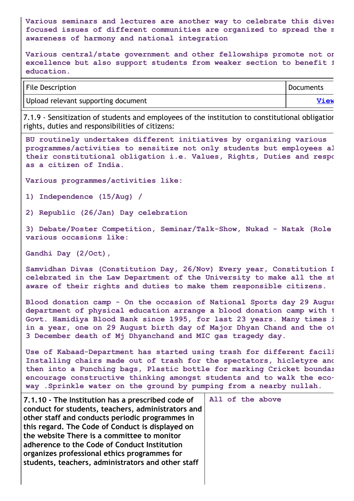**Various seminars and lectures are another way to celebrate this diver focused issues of different communities are organized to spread the m awareness of harmony and national integration**

**Various central/state government and other fellowships promote not on excellence but also support students from weaker section to benefit f education.**

| <b>File Description</b>             | Documents |
|-------------------------------------|-----------|
| Upload relevant supporting document | View      |

7.1.9 - Sensitization of students and employees of the institution to constitutional obligation rights, duties and responsibilities of citizens:

```
BU routinely undertakes different initiatives by organizing various
programmes/activities to sensitize not only students but employees al
their constitutional obligation i.e. Values, Rights, Duties and respo
as a citizen of India.
```
**Various programmes/activities like:**

**1) Independence (15/Aug) /**

**2) Republic (26/Jan) Day celebration**

**3) Debate/Poster Competition, Seminar/Talk-Show, Nukad - Natak (Role various occasions like:**

**Gandhi Day (2/Oct),**

**Samvidhan Divas (Constitution Day, 26/Nov) Every year, Constitution D celebrated in the Law Department of the University to make all the st aware of their rights and duties to make them responsible citizens.**

**Blood donation camp - On the occasion of National Sports day 29 Augus department of physical education arrange a blood donation camp with t Govt. Hamidiya Blood Bank since 1995, for last 23 years. Many times i in a year, one on 29 August birth day of Major Dhyan Chand and the ot 3 December death of Mj Dhyanchand and MIC gas tragedy day.**

**Use of Kabaad-Department has started using trash for different facili Installing chairs made out of trash for the spectators, hicletyre and then into a Punching bags, Plastic bottle for marking Cricket boundar encourage constructive thinking amongst students and to walk the ecoway .Sprinkle water on the ground by pumping from a nearby nullah.**

| 7.1.10 - The Institution has a prescribed code of<br>conduct for students, teachers, administrators and<br>other staff and conducts periodic programmes in<br>this regard. The Code of Conduct is displayed on<br>the website There is a committee to monitor<br>adherence to the Code of Conduct Institution<br>organizes professional ethics programmes for<br>students, teachers, administrators and other staff | All of the above |
|---------------------------------------------------------------------------------------------------------------------------------------------------------------------------------------------------------------------------------------------------------------------------------------------------------------------------------------------------------------------------------------------------------------------|------------------|
|---------------------------------------------------------------------------------------------------------------------------------------------------------------------------------------------------------------------------------------------------------------------------------------------------------------------------------------------------------------------------------------------------------------------|------------------|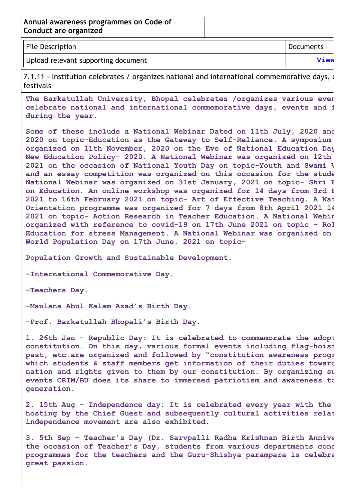| <b>File Description</b>             | Documents |
|-------------------------------------|-----------|
| Upload relevant supporting document | View      |

7.1.11 - Institution celebrates / organizes national and international commemorative days,  $\epsilon$ festivals

**The Barkatullah University, Bhopal celebrates /organizes various even celebrate national and international commemorative days, events and f during the year.**

**Some of these include a National Webinar Dated on 11th July, 2020 and 2020 on topic-Education as the Gateway to Self-Reliance. A symposium organized on 11th November, 2020 on the Eve of National Education Day New Education Policy- 2020. A National Webinar was organized on 12th 2021 on the occasion of National Youth Day on topic-Youth and Swami V and an essay competition was organized on this occasion for the stude National Webinar was organized on 31st January, 2021 on topic- Shri B on Education. An online workshop was organized for 14 days from 3rd F 2021 to 16th February 2021 on topic- Art of Effective Teaching. A Nat Orientation programme was organized for 7 days from 8th April 2021 14 2021 on topic- Action Research in Teacher Education. A National Webin organized with reference to covid-19 on 17th June 2021 on topic – Rol Education for stress Management. A National Webinar was organized on World Population Day on 17th June, 2021 on topic-**

**Population Growth and Sustainable Development.**

**-International Commemorative Day.**

**-Teachers Day.**

**-Maulana Abul Kalam Azad's Birth Day.**

**-Prof. Barkatullah Bhopali's Birth Day.**

**1. 26th Jan - Republic Day: It is celebrated to commemorate the adopt constitution. On this day, various formal events including flag-hoist past, etc…are organized and followed by "constitution awareness progr which students & staff members get information of their duties toward nation and rights given to them by our constitution. By organizing su events CRIM/BU does its share to immersed patriotism and awareness to generation.**

**2. 15th Aug - Independence day: It is celebrated every year with the hosting by the Chief Guest and subsequently cultural activities relat independence movement are also exhibited.**

**3. 5th Sep – Teacher's Day (Dr. Sarvpalli Radha Krishnan Birth Annive the occasion of Teacher's Day, students from various departments cond programmes for the teachers and the Guru-Shishya parampara is celebra great passion.**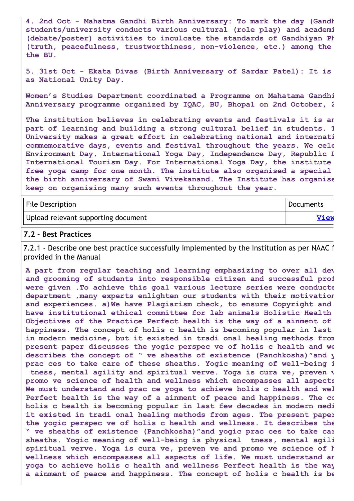**4. 2nd Oct - Mahatma Gandhi Birth Anniversary: To mark the day (Gandh students/university conducts various cultural (role play) and academi (debate/poster) activities to inculcate the standards of Gandhiyan Ph (truth, peacefulness, trustworthiness, non-violence, etc.) among the the BU.**

**5. 31st Oct - Ekata Divas (Birth Anniversary of Sardar Patel): It is as National Unity Day.**

**Women's Studies Department coordinated a Programme on Mahatama Gandhi Anniversary programme organized by IQAC, BU, Bhopal on 2nd October, 2**

**The institution believes in celebrating events and festivals it is an part of learning and building a strong cultural belief in students. T University makes a great effort in celebrating national and internati commemorative days, events and festival throughout the years. We cele Environment Day, International Yoga Day, Independence Day, Republic D International Tourism Day. For International Yoga Day, the institute free yoga camp for one month. The institute also organised a special the birth anniversary of Swami Vivekanand. The Institute has organise keep on organising many such events throughout the year.**

| File Description                    | Documents   |
|-------------------------------------|-------------|
| Upload relevant supporting document | <b>View</b> |

#### **7.2 - Best Practices**

7.2.1 - Describe one best practice successfully implemented by the Institution as per NAAC f provided in the Manual

**A part from regular teaching and learning emphasizing to over all dev and grooming of students into responsible citizen and successful prof were given .To achieve this goal various lecture series were conducte department ,many experts enlighten our students with their motivation and experiences. a)We have Plagiarism check, to ensure Copyright and have institutional ethical committee for lab animals Holistic Health Objectives of the Practice Perfect health is the way of a ainment of happiness. The concept of holis c health is becoming popular in last in modern medicine, but it existed in tradi onal healing methods from present paper discusses the yogic perspec ve of holis c health and we describes the concept of " ve sheaths of existence (Panchkosha)"and y prac ces to take care of these sheaths. Yogic meaning of well-being i tness, mental agility and spiritual verve. Yoga is cura ve, preven v promo ve science of health and wellness which encompasses all aspects We must understand and prac ce yoga to achieve holis c health and wel Perfect health is the way of a ainment of peace and happiness. The co holis c health is becoming popular in last few decades in modern medi it existed in tradi onal healing methods from ages. The present paper the yogic perspec ve of holis c health and wellness. It describes the " ve sheaths of existence (Panchkosha)"and yogic prac ces to take car sheaths. Yogic meaning of well-being is physical tness, mental agili spiritual verve. Yoga is cura ve, preven ve and promo ve science of h wellness which encompasses all aspects of life. We must understand an yoga to achieve holis c health and wellness Perfect health is the way a ainment of peace and happiness. The concept of holis c health is be**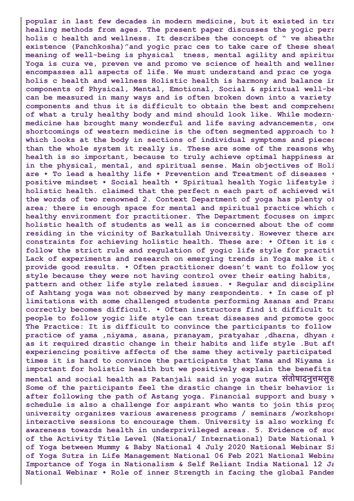**popular in last few decades in modern medicine, but it existed in tra healing methods from ages. The present paper discusses the yogic pers holis c health and wellness. It describes the concept of " ve sheaths existence (Panchkosha)"and yogic prac ces to take care of these sheat meaning of well-being is physical tness, mental agility and spiritua Yoga is cura ve, preven ve and promo ve science of health and wellnes encompasses all aspects of life. We must understand and prac ce yoga holis c health and wellness Holistic health is harmony and balance in components of Physical, Mental, Emotional, Social & spiritual well-be can be measured in many ways and is often broken down into a variety components and thus it is difficult to obtain the best and comprehens of what a truly healthy body and mind should look like. While modernmedicine has brought many wonderful and life saving advancements, one shortcomings of western medicine is the often segmented approach to h which looks at the body in sections of individual symptoms and pieces than the whole system it really is. These are some of the reasons why health is so important, because to truly achieve optimal happiness an in the physical, mental, and spiritual sense. Main objectives of Holi are • To lead a healthy life • Prevention and Treatment of diseases • positive mindset • Social health • Spiritual health Yogic lifestyle i holistic health. claimed that the perfect n each part of achieved wit the words of two renowned 2. Context Department of yoga has plenty of area; there is enough space for mental and spiritual practice which c healthy environment for practitioner. The Department focuses on impro holistic health of students as well as is concerned about the of comm residing in the vicinity of Barkatullah University. However there are constraints for achieving holistic health. These are: • Often it is d follow the strict rule and regulation of yogic life style for practit Lack of experiments and research on emerging trends in Yoga make it d provide good results. • Often practitioner doesn't want to follow yog style because they were not having control over their eating habits, pattern and other life style related issues. • Regular and discipline of Ashtang yoga was not observed by many respondents. • In case of ph limitations with some challenged students performing Asanas and Prana correctly becomes difficult. • Often instructors find it difficult to people to follow yogic life style can treat diseases and promote good The Practice: It is difficult to convince the participants to follow practice of yama ,niyama, asana, pranayam, pratyahar ,dharna, dhyan a as it required drastic change in their habits and life style .But aft experiencing positive affects of the same they actively participated times it is hard to convince the participants that Yama and Niyama is important for holistic health but we positively explain the benefits mental and social health as Patanjali said in yoga sutra संतो षा दनुत्तमसुख Some of the participants feel the drastic change in their behavior is after following the path of Astang yoga. Financial support and busy w schedule is also a challenge for aspirant who wants to join this prog university organizes various awareness programs / seminars /workshops interactive sessions to encourage them. University is also working fo awareness towards health in underprivileged areas. 5. Evidence of suc of the Activity Title Level (National/ International) Date National W of Yoga between Mummy & Baby National 4 July 2020 National Webinar Si of Yoga Sutra in Life Management National 06 Feb 2021 National Webina Importance of Yoga in Nationalism & Self Reliant India National 12 Ja National Webinar • Role of inner Strength in facing the global Pandem**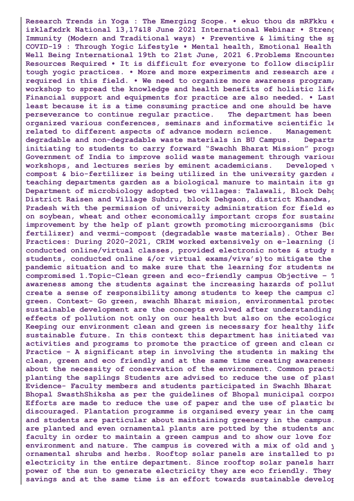**Research Trends in Yoga : The Emerging Scope. • ekuo thou ds mRFkku e izklafxdrk National 13,17&18 June 2021 International Webinar • Streng Immunity (Modern and Traditional ways) • Preventive & limiting the sp COVID-19 : Through Yogic Lifestyle • Mental health, Emotional Health Well Being International 19th to 21st June, 2021 6.Problems Encounter Resources Required • It is difficult for everyone to follow disciplin tough yogic practices. • More and more experiments and research are a required in this field. • We need to organize more awareness program/ workshop to spread the knowledge and health benefits of holistic life Financial support and equipments for practice are also needed. • Last least because it is a time consuming practice and one should be have perseverance to continue regular practice. The department has been organized various conferences, seminars and informative scientific le related to different aspects of advance modern science. Management degradable and non-degradable waste materials in BU Campus. Departm initiating to students to carry forward "Swachh Bharat Mission" progr Government of India to improve solid waste management through various workshops, and lectures series by eminent academicians. Developed v compost & bio-fertilizer is being utilized in the university garden a teaching departments garden as a biological manure to maintain its gr Department of microbiology adopted two villages: Talawali, Block Dehg District Raisen and Village Suhdru, block Dehgaon, district Khandwa, Pradesh with the permission of university administration for field ex on soybean, wheat and other economically important crops for sustaina improvement by the help of plant growth promoting microorganisms (bio fertilizer) and vermi-compost (degradable waste materials). Other Bes Practices: During 2020-2021, CRIM worked extensively on e-learning (i conducted online/virtual classes, provided electronic notes & study m students, conducted online &/or virtual exams/viva's)to mitigate the pandemic situation and to make sure that the learning for students ne compromised 1.Topic-Clean green and eco-friendly campus Objective – T awareness among the students against the increasing hazards of pollut create a sense of responsibility among students to keep the campus cl green. Context- Go green, swachh Bharat mission, environmental protec sustainable development are the concepts evolved after understanding effects of pollution not only on our health but also on the ecologica Keeping our environment clean and green is necessary for healthy life sustainable future. In this context this department has initiated var activities and programs to promote the practice of green and clean ca Practice - A significant step in involving the students in making the clean, green and eco friendly and at the same time creating awareness about the necessity of conservation of the environment. Common practi planting the saplings Students are advised to reduce the use of plast Evidence- Faculty members and students participated in Swachh Bharat Bhopal SwasthShiksha as per the guidelines of Bhopal municipal corpor Efforts are made to reduce the use of paper and the use of plastic ba discouraged. Plantation programme is organised every year in the camp and students are particular about maintaining greenery in the campus. are planted and even ornamental plants are potted by the students and faculty in order to maintain a green campus and to show our love for environment and nature. The campus is covered with a mix of old and y ornamental shrubs and herbs. Rooftop solar panels are installed to pr electricity in the entire department. Since rooftop solar panels harn power of the sun to generate electricity they are eco friendly. They savings and at the same time is an effort towards sustainable develop**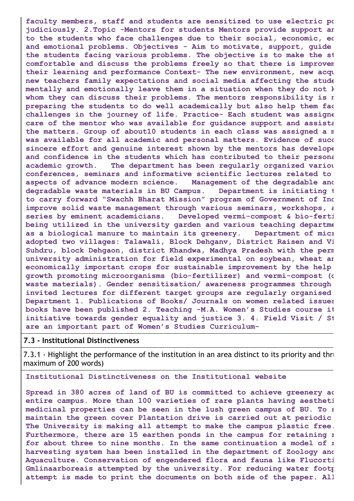**faculty members, staff and students are sensitized to use electric po judiciously. 2.Topic -Mentors for students Mentors provide support an to the students who face challenges due to their social, economic, ed and emotional problems. Objectives - Aim to motivate, support, guide the students facing various problems. The objective is to make the st comfortable and discuss the problems freely so that there is improvem their learning and performance Context- The new environment, new acqu new teachers family expectations and social media affecting the stude mentally and emotionally leave them in a situation when they do not k whom they can discuss their problems. The mentors responsibility is n preparing the students to do well academically but also help them fac challenges in the journey of life. Practice- Each student was assigne care of the mentor who was available for guidance support and assista the matters. Group of about10 students in each class was assigned a m was available for all academic and personal matters. Evidence of succ sincere effort and genuine interest shown by the mentors has develope and confidence in the students which has contributed to their persona academic growth. The department has been regularly organized variou conferences, seminars and informative scientific lectures related to aspects of advance modern science. Management of the degradable and degradable waste materials in BU Campus. Department is initiating t to carry forward "Swachh Bharat Mission" program of Government of Ind improve solid waste management through various seminars, workshops, a series by eminent academicians. Developed vermi-compost & bio-ferti being utilized in the university garden and various teaching departme as a biological manure to maintain its greenery. Department of micr adopted two villages: Talawali, Block Dehganv, District Raisen and Vi Suhdru, block Dehgaon, district Khandwa, Madhya Pradesh with the perm university administration for field experimental on soybean, wheat an economically important crops for sustainable improvement by the help growth promoting microorganisms (bio-fertilizer) and vermi-compost (d waste materials). Gender sensitisation/ awareness programmes through invited lectures for different target groups are regularly organised Department 1. Publications of Books/ Journals on women related issues books have been published 2. Teaching -M.A. Women's Studies course it initiative towards gender equality and justice 3. 4. Field Visit / St are an important part of Women's Studies Curriculum-**

#### **7.3 - Institutional Distinctiveness**

7.3.1 - Highlight the performance of the institution in an area distinct to its priority and thre maximum of 200 words)

#### **Institutional Distinctiveness on the Institutional website**

**Spread in 380 acres of land of BU is committed to achieve greenery ac entire campus. More than 100 varieties of rare plants having aestheti medicinal properties can be seen in the lush green campus of BU. To s maintain the green cover Plantation drive is carried out at periodic The University is making all attempt to make the campus plastic free. Furthermore, there are 15 earthen ponds in the campus for retaining r for about three to nine months. In the same continuation a model of r harvesting system has been installed in the department of Zoology and Aquaculture. Conservation of engendered flora and fauna like Flucorti Gmlinaarboreais attempted by the university. For reducing water footp attempt is made to print the documents on both side of the paper. All**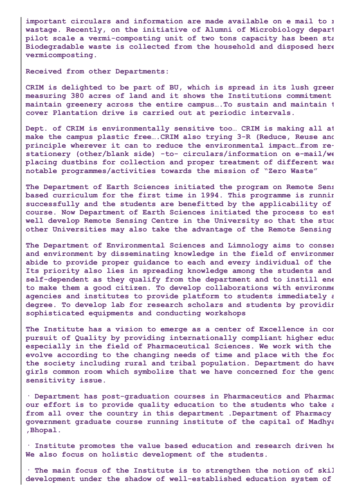**important circulars and information are made available on e mail to r wastage. Recently, on the initiative of Alumni of Microbiology depart pilot scale a vermi-composting unit of two tons capacity has been sta Biodegradable waste is collected from the household and disposed here vermicomposting.**

**Received from other Departments:**

**CRIM is delighted to be part of BU, which is spread in its lush green measuring 380 acres of land and it shows the Institutions commitment maintain greenery across the entire campus….To sustain and maintain t cover Plantation drive is carried out at periodic intervals.**

**Dept. of CRIM is environmentally sensitive too… CRIM is making all at make the campus plastic free….CRIM also trying 3-R (Reduce, Reuse and principle wherever it can to reduce the environmental impact…from restationery (other/blank side) -to- circulars/information on e-mail/we placing dustbins for collection and proper treatment of different was notable programmes/activities towards the mission of "Zero Waste"**

**The Department of Earth Sciences initiated the program on Remote Sens based curriculum for the first time in 1994. This programme is runnin successfully and the students are benefitted by the applicability of course. Now Department of Earth Sciences initiated the process to est well develop Remote Sensing Centre in the University so that the stud other Universities may also take the advantage of the Remote Sensing**

**The Department of Environmental Sciences and Limnology aims to conser and environment by disseminating knowledge in the field of environmen abide to provide proper guidance to each and every individual of the Its priority also lies in spreading knowledge among the students and self-dependent as they qualify from the department and to instill ene to make them a good citizen. To develop collaborations with environme agencies and institutes to provide platform to students immediately a degree. To develop lab for research scholars and students by providin sophisticated equipments and conducting workshops**

**The Institute has a vision to emerge as a center of Excellence in con pursuit of Quality by providing internationally compliant higher educ especially in the field of Pharmaceutical Sciences. We work with the evolve according to the changing needs of time and place with the foc the society including rural and tribal population. Department do have girls common room which symbolize that we have concerned for the gend sensitivity issue.**

**· Department has post-graduation courses in Pharmaceutics and Pharmac our effort is to provide quality education to the students who take a from all over the country in this department .Department of Pharmacy government graduate course running institute of the capital of Madhya ,Bhopal.**

**· Institute promotes the value based education and research driven he We also focus on holistic development of the students.**

**· The main focus of the Institute is to strengthen the notion of skil development under the shadow of well-established education system of**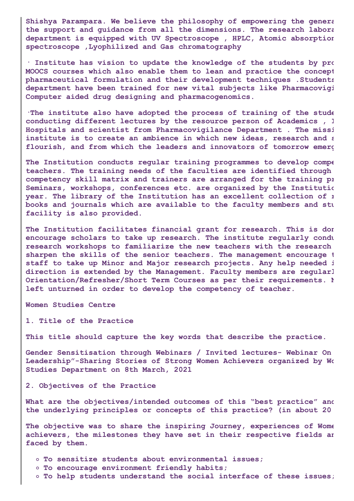**Shishya Parampara. We believe the philosophy of empowering the genera the support and guidance from all the dimensions. The research labora department is equipped with UV Spectroscope , HPLC, Atomic absorption spectroscope ,Lyophilized and Gas chromatography**

**· Institute has vision to update the knowledge of the students by pro MOOCS courses which also enable them to lean and practice the concept pharmaceutical formulation and their development techniques .Students department have been trained for new vital subjects like Pharmacovigi Computer aided drug designing and pharmacogenomics.**

**·The institute also have adopted the process of training of the stude conducting different lectures by the resource person of Academics , I Hospitals and scientist from Pharmacovigilance Department . The missi institute is to create an ambience in which new ideas, research and s flourish, and from which the leaders and innovators of tomorrow emerg**

**The Institution conducts regular training programmes to develop compe teachers. The training needs of the faculties are identified through competency skill matrix and trainers are arranged for the training pr Seminars, workshops, conferences etc. are organized by the Institutio year. The library of the Institution has an excellent collection of r books and journals which are available to the faculty members and stu facility is also provided.**

**The Institution facilitates financial grant for research. This is don encourage scholars to take up research. The institute regularly condu research workshops to familiarize the new teachers with the research sharpen the skills of the senior teachers. The management encourage t staff to take up Minor and Major research projects. Any help needed i direction is extended by the Management. Faculty members are regularl Orientation/Refresher/Short Term Courses as per their requirements. N left unturned in order to develop the competency of teacher.**

**Women Studies Centre**

**1. Title of the Practice**

**This title should capture the key words that describe the practice.**

**Gender Sensitisation through Webinars / Invited lectures- Webinar On Leadership"-Sharing Stories of Strong Women Achievers organized by Wo Studies Department on 8th March, 2021**

**2. Objectives of the Practice**

**What are the objectives/intended outcomes of this "best practice" and the underlying principles or concepts of this practice? (in about 20**

**The objective was to share the inspiring Journey, experiences of Wome achievers, the milestones they have set in their respective fields an faced by them.**

- **To sensitize students about environmental issues;**
- **To encourage environment friendly habits;**
- **To help students understand the social interface of these issues;**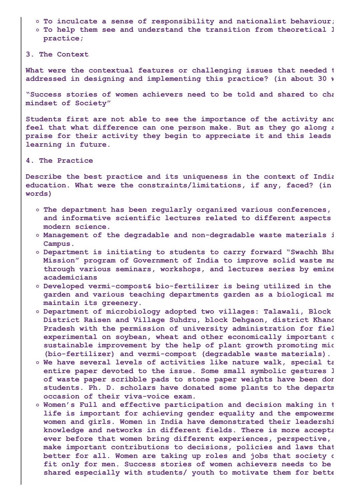- **To inculcate a sense of responsibility and nationalist behaviour;**
- **To help them see and understand the transition from theoretical l practice;**
- **3. The Context**

**What were the contextual features or challenging issues that needed t addressed in designing and implementing this practice? (in about 30 w**

**"Success stories of women achievers need to be told and shared to cha mindset of Society"**

**Students first are not able to see the importance of the activity and feel that what difference can one person make. But as they go along a praise for their activity they begin to appreciate it and this leads learning in future.**

**4. The Practice**

**Describe the best practice and its uniqueness in the context of India education. What were the constraints/limitations, if any, faced? (in words)**

- **The department has been regularly organized various conferences, and informative scientific lectures related to different aspects modern science.**
- **Management of the degradable and non-degradable waste materials i Campus.**
- **Department is initiating to students to carry forward "Swachh Bha Mission" program of Government of India to improve solid waste ma through various seminars, workshops, and lectures series by emine academicians**
- **Developed vermi-compost& bio-fertilizer is being utilized in the garden and various teaching departments garden as a biological ma maintain its greenery.**
- **Department of microbiology adopted two villages: Talawali, Block District Raisen and Village Suhdru, block Dehgaon, district Khand Pradesh with the permission of university administration for fiel experimental on soybean, wheat and other economically important c sustainable improvement by the help of plant growth promoting mic (bio-fertilizer) and vermi-compost (degradable waste materials).**
- **We have several levels of activities like nature walk, special ta entire paper devoted to the issue. Some small symbolic gestures l of waste paper scribble pads to stone paper weights have been don students. Ph. D. scholars have donated some plants to the departm occasion of their viva-voice exam.**
- **Women's Full and effective participation and decision making in t life is important for achieving gender equality and the empowerme women and girls. Women in India have demonstrated their leadershi knowledge and networks in different fields. There is more accepta ever before that women bring different experiences, perspective, make important contributions to decisions, policies and laws that better for all. Women are taking up roles and jobs that society c fit only for men. Success stories of women achievers needs to be shared especially with students/ youth to motivate them for bette**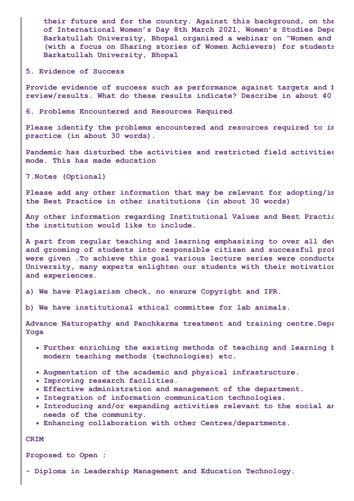**their future and for the country. Against this background, on the of International Women's Day 8th March 2021, Women's Studies Depa Barkatullah University, Bhopal organized a webinar on "Women and (with a focus on Sharing stories of Women Achievers) for students Barkatullah University, Bhopal**

**5. Evidence of Success**

**Provide evidence of success such as performance against targets and b review/results. What do these results indicate? Describe in about 40**

**6. Problems Encountered and Resources Required**

**Please identify the problems encountered and resources required to im practice (in about 30 words).**

**Pandemic has disturbed the activities and restricted field activities mode. This has made education**

**7.Notes (Optional)**

**Please add any other information that may be relevant for adopting/im the Best Practice in other institutions (in about 30 words)**

**Any other information regarding Institutional Values and Best Practic the institution would like to include.**

**A part from regular teaching and learning emphasizing to over all dev and grooming of students into responsible citizen and successful prof were given .To achieve this goal various lecture series were conducte University, many experts enlighten our students with their motivation and experiences.**

**a) We have Plagiarism check, no ensure Copyright and IPR.**

**b) We have institutional ethical committee for lab animals.**

**Advance Naturopathy and Panchkarma treatment and training centre.Depa Yoga**

- **Further enriching the existing methods of teaching and learning b modern teaching methods (technologies) etc.**
- **Augmentation of the academic and physical infrastructure.**
- **Improving research facilities.**
- **Effective administration and management of the department.**
- **Integration of information communication technologies.**
- **Introducing and/or expanding activities relevant to the social an needs of the community.**
- **Enhancing collaboration with other Centres/departments.**

**CRIM**

**Proposed to Open :**

**- Diploma in Leadership Management and Education Technology.**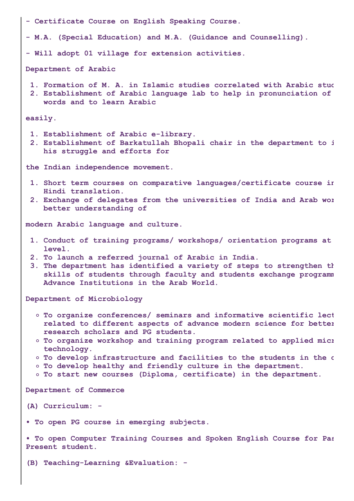| - Certificate Course on English Speaking Course.                                                                                                                                                                                                                                                                                                                                                                                                                                |
|---------------------------------------------------------------------------------------------------------------------------------------------------------------------------------------------------------------------------------------------------------------------------------------------------------------------------------------------------------------------------------------------------------------------------------------------------------------------------------|
| - M.A. (Special Education) and M.A. (Guidance and Counselling).                                                                                                                                                                                                                                                                                                                                                                                                                 |
| - Will adopt 01 village for extension activities.                                                                                                                                                                                                                                                                                                                                                                                                                               |
| Department of Arabic                                                                                                                                                                                                                                                                                                                                                                                                                                                            |
| 1. Formation of M. A. in Islamic studies correlated with Arabic stud<br>2. Establishment of Arabic language lab to help in pronunciation of<br>words and to learn Arabic                                                                                                                                                                                                                                                                                                        |
| easily.                                                                                                                                                                                                                                                                                                                                                                                                                                                                         |
| 1. Establishment of Arabic e-library.<br>2. Establishment of Barkatullah Bhopali chair in the department to i<br>his struggle and efforts for                                                                                                                                                                                                                                                                                                                                   |
| the Indian independence movement.                                                                                                                                                                                                                                                                                                                                                                                                                                               |
| 1. Short term courses on comparative languages/certificate course in<br>Hindi translation.<br>2. Exchange of delegates from the universities of India and Arab wor<br>better understanding of                                                                                                                                                                                                                                                                                   |
| modern Arabic language and culture.                                                                                                                                                                                                                                                                                                                                                                                                                                             |
| 1. Conduct of training programs/ workshops/ orientation programs at<br>level.<br>2. To launch a referred journal of Arabic in India.<br>3. The department has identified a variety of steps to strengthen th<br>skills of students through faculty and students exchange programm<br>Advance Institutions in the Arab World.                                                                                                                                                    |
| Department of Microbiology                                                                                                                                                                                                                                                                                                                                                                                                                                                      |
| O To organize conferences/ seminars and informative scientific lect<br>related to different aspects of advance modern science for better<br>research scholars and PG students.<br>O To organize workshop and training program related to applied mici<br>technology.<br>° To develop infrastructure and facilities to the students in the o<br>° To develop healthy and friendly culture in the department.<br>o To start new courses (Diploma, certificate) in the department. |
| Department of Commerce                                                                                                                                                                                                                                                                                                                                                                                                                                                          |
| (A) Curriculum: -                                                                                                                                                                                                                                                                                                                                                                                                                                                               |
| . To open PG course in emerging subjects.                                                                                                                                                                                                                                                                                                                                                                                                                                       |
| . To open Computer Training Courses and Spoken English Course for Pas<br>Present student.                                                                                                                                                                                                                                                                                                                                                                                       |
| (B) Teaching-Learning & Evaluation: -                                                                                                                                                                                                                                                                                                                                                                                                                                           |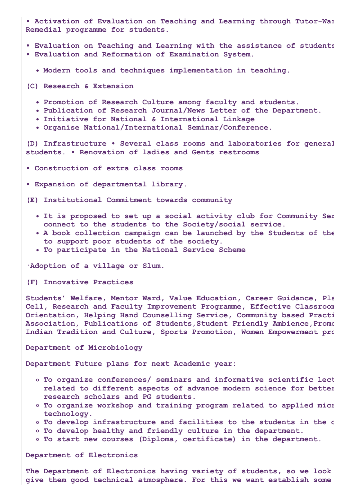**• Activation of Evaluation on Teaching and Learning through Tutor-War Remedial programme for students.**

- **• Evaluation on Teaching and Learning with the assistance of students**
- **• Evaluation and Reformation of Examination System.**
	- **Modern tools and techniques implementation in teaching.**
- **(C) Research & Extension**
	- **Promotion of Research Culture among faculty and students.**
	- **Publication of Research Journal/News Letter of the Department.**
	- **Initiative for National & International Linkage**
	- **Organise National/International Seminar/Conference.**

**(D) Infrastructure • Several class rooms and laboratories for general students. • Renovation of ladies and Gents restrooms**

**• Construction of extra class rooms**

**• Expansion of departmental library.**

**(E) Institutional Commitment towards community**

- **It is proposed to set up a social activity club for Community Ser connect to the students to the Society/social service.**
- **A book collection campaign can be launched by the Students of the to support poor students of the society.**
- **To participate in the National Service Scheme**

**·Adoption of a village or Slum.**

**(F) Innovative Practices**

**Students' Welfare, Mentor Ward, Value Education, Career Guidance, Pla Cell, Research and Faculty Improvement Programme, Effective Classroom Orientation, Helping Hand Counselling Service, Community based Practi Association, Publications of Students,Student Friendly Ambience,Promo Indian Tradition and Culture, Sports Promotion, Women Empowerment pro**

**Department of Microbiology**

**Department Future plans for next Academic year:**

- **To organize conferences/ seminars and informative scientific lect related to different aspects of advance modern science for better research scholars and PG students.**
- **To organize workshop and training program related to applied micr technology.**
- **To develop infrastructure and facilities to the students in the d**
- **To develop healthy and friendly culture in the department.**
- **To start new courses (Diploma, certificate) in the department.**

**Department of Electronics**

**The Department of Electronics having variety of students, so we look give them good technical atmosphere. For this we want establish some**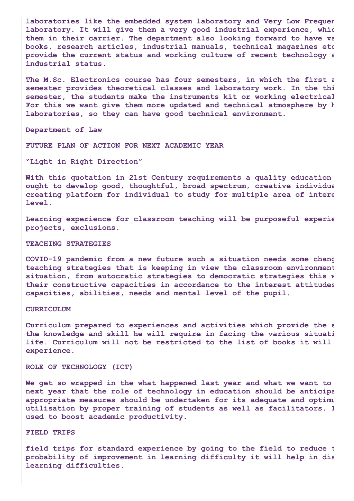**laboratories like the embedded system laboratory and Very Low Frequen laboratory. It will give them a very good industrial experience, whic them in their carrier. The department also looking forward to have va books, research articles, industrial manuals, technical magazines etc provide the current status and working culture of recent technology a industrial status.**

**The M.Sc. Electronics course has four semesters, in which the first a semester provides theoretical classes and laboratory work. In the thi semester, the students make the instruments kit or working electrical For this we want give them more updated and technical atmosphere by h laboratories, so they can have good technical environment.**

**Department of Law**

**FUTURE PLAN OF ACTION FOR NEXT ACADEMIC YEAR**

**"Light in Right Direction"**

**With this quotation in 21st Century requirements a quality education ought to develop good, thoughtful, broad spectrum, creative individua creating platform for individual to study for multiple area of intere level.**

**Learning experience for classroom teaching will be purposeful experie projects, exclusions.**

#### **TEACHING STRATEGIES**

**COVID-19 pandemic from a new future such a situation needs some chang teaching strategies that is keeping in view the classroom environment situation, from autocratic strategies to democratic strategies this w their constructive capacities in accordance to the interest attitudes capacities, abilities, needs and mental level of the pupil.**

#### **CURRICULUM**

**Curriculum prepared to experiences and activities which provide the s the knowledge and skill he will require in facing the various situati life. Curriculum will not be restricted to the list of books it will experience.**

#### **ROLE OF TECHNOLOGY (ICT)**

**We get so wrapped in the what happened last year and what we want to next year that the role of technology in education should be anticipa appropriate measures should be undertaken for its adequate and optimu utilisation by proper training of students as well as facilitators. I used to boost academic productivity.**

#### **FIELD TRIPS**

**field trips for standard experience by going to the field to reduce t probability of improvement in learning difficulty it will help in dia learning difficulties.**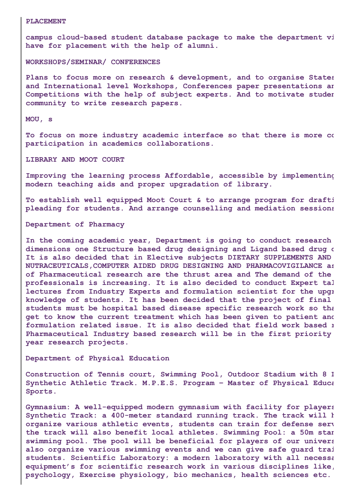#### **PLACEMENT**

**campus cloud-based student database package to make the department vi have for placement with the help of alumni.**

**WORKSHOPS/SEMINAR/ CONFERENCES**

**Plans to focus more on research & development, and to organise States and International level Workshops, Conferences paper presentations an Competitions with the help of subject experts. And to motivate studen community to write research papers.**

**MOU, s**

**To focus on more industry academic interface so that there is more co participation in academics collaborations.**

**LIBRARY AND MOOT COURT**

**Improving the learning process Affordable, accessible by implementing modern teaching aids and proper upgradation of library.**

**To establish well equipped Moot Court & to arrange program for drafti pleading for students. And arrange counselling and mediation sessions**

**Department of Pharmacy**

**In the coming academic year, Department is going to conduct research dimensions one Structure based drug designing and Ligand based drug d It is also decided that in Elective subjects DIETARY SUPPLEMENTS AND NUTRACEUTICALS,COMPUTER AIDED DRUG DESIGNING AND PHARMACOVIGILANCE as of Pharmaceutical research are the thrust area and The demand of the professionals is increasing. It is also decided to conduct Expert tal lectures from Industry Experts and formulation scientist for the upgr knowledge of students. It has been decided that the project of final students must be hospital based disease specific research work so tha get to know the current treatment which has been given to patient and formulation related issue. It is also decided that field work based r Pharmaceutical Industry based research will be in the first priority year research projects.**

**Department of Physical Education**

**Construction of Tennis court, Swimming Pool, Outdoor Stadium with 8 L Synthetic Athletic Track. M.P.E.S. Program – Master of Physical Educa Sports.**

**Gymnasium: A well-equipped modern gymnasium with facility for players Synthetic Track: a 400-meter standard running track. The track will h organize various athletic events, students can train for defense serv the track will also benefit local athletes. Swimming Pool: a 50m stan swimming pool. The pool will be beneficial for players of our univers also organize various swimming events and we can give safe guard trai students. Scientific Laboratory: a modern laboratory with all necessa equipment's for scientific research work in various disciplines like, psychology, Exercise physiology, bio mechanics, health sciences etc.**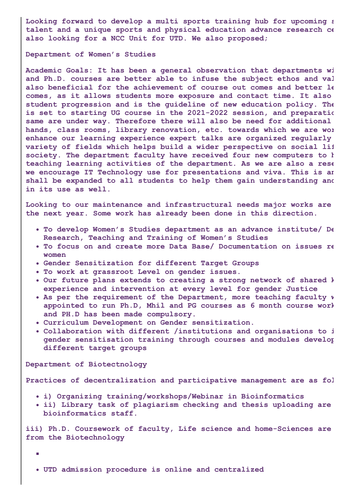**Looking forward to develop a multi sports training hub for upcoming s talent and a unique sports and physical education advance research ce also looking for a NCC Unit for UTD. We also proposed;**

#### **Department of Women's Studies**

**Academic Goals: It has been a general observation that departments wi and Ph.D. courses are better able to infuse the subject ethos and val also beneficial for the achievement of course out comes and better le comes, as it allows students more exposure and contact time. It also student progression and is the guideline of new education policy. The is set to starting UG course in the 2021-2022 session, and preparatio same are under way. Therefore there will also be need for additional hands, class rooms, library renovation, etc. towards which we are wor enhance our learning experience expert talks are organized regularly variety of fields which helps build a wider perspective on social lif society. The department faculty have received four new computers to h teaching learning activities of the department. As we are also a rese we encourage IT Technology use for presentations and viva. This is an shall be expanded to all students to help them gain understanding and in its use as well.**

**Looking to our maintenance and infrastructural needs major works are the next year. Some work has already been done in this direction.**

- **To develop Women's Studies department as an advance institute/ De Research, Teaching and Training of Women's Studies**
- **To focus on and create more Data Base/ Documentation on issues re women**
- **Gender Sensitization for different Target Groups**
- **To work at grassroot Level on gender issues.**
- **Our future plans extends to creating a strong network of shared k experience and intervention at every level for gender Justice**
- **As per the requirement of the Department, more teaching faculty w appointed to run Ph.D, Mhil and PG courses as 6 month course work and PH.D has been made compulsory.**
- **Curriculum Development on Gender sensitization.**
- **Collaboration with different /institutions and organisations to i gender sensitisation training through courses and modules develop different target groups**

**Department of Biotectnology**

**Practices of decentralization and participative management are as fol**

- **i) Organizing training/workshops/Webinar in Bioinformatics**
- **ii) Library task of plagiarism checking and thesis uploading are bioinformatics staff.**

**iii) Ph.D. Coursework of faculty, Life science and home-Sciences are from the Biotechnology**

 $\overline{\phantom{a}}$ 

**UTD admission procedure is online and centralized**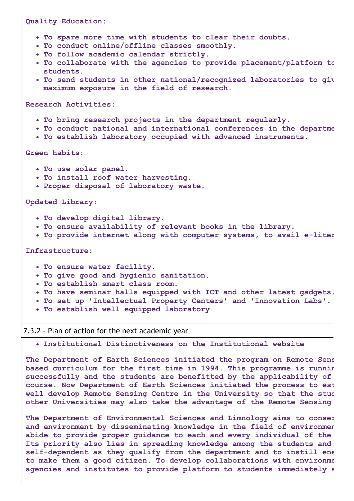#### **Quality Education:**

- **To spare more time with students to clear their doubts.**
- **To conduct online/offline classes smoothly.**
- **To follow academic calendar strictly.**
- **To collaborate with the agencies to provide placement/platform to students.**
- **To send students in other national/recognized laboratories to giv maximum exposure in the field of research.**

**Research Activities:**

- **To bring research projects in the department regularly.**
- **To conduct national and international conferences in the departme**
- **To establish laboratory occupied with advanced instruments.**

#### **Green habits:**

- **To use solar panel.**
- **To install roof water harvesting.**
- **Proper disposal of laboratory waste.**

**Updated Library:**

- **To develop digital library.**
- **To ensure availability of relevant books in the library.**
- **To provide internet along with computer systems, to avail e-liter**

#### **Infrastructure:**

- **To ensure water facility.**
- **To give good and hygienic sanitation.**
- **To establish smart class room.**
- **To have seminar halls equipped with ICT and other latest gadgets.**
- **To set up 'Intellectual Property Centers' and 'Innovation Labs'.**
- **To establish well equipped laboratory**

#### 7.3.2 - Plan of action for the next academic year

**Institutional Distinctiveness on the Institutional website**

**The Department of Earth Sciences initiated the program on Remote Sens based curriculum for the first time in 1994. This programme is runnin successfully and the students are benefitted by the applicability of course. Now Department of Earth Sciences initiated the process to est well develop Remote Sensing Centre in the University so that the stud other Universities may also take the advantage of the Remote Sensing**

**The Department of Environmental Sciences and Limnology aims to conser and environment by disseminating knowledge in the field of environmen abide to provide proper guidance to each and every individual of the Its priority also lies in spreading knowledge among the students and self-dependent as they qualify from the department and to instill ene to make them a good citizen. To develop collaborations with environme agencies and institutes to provide platform to students immediately a**